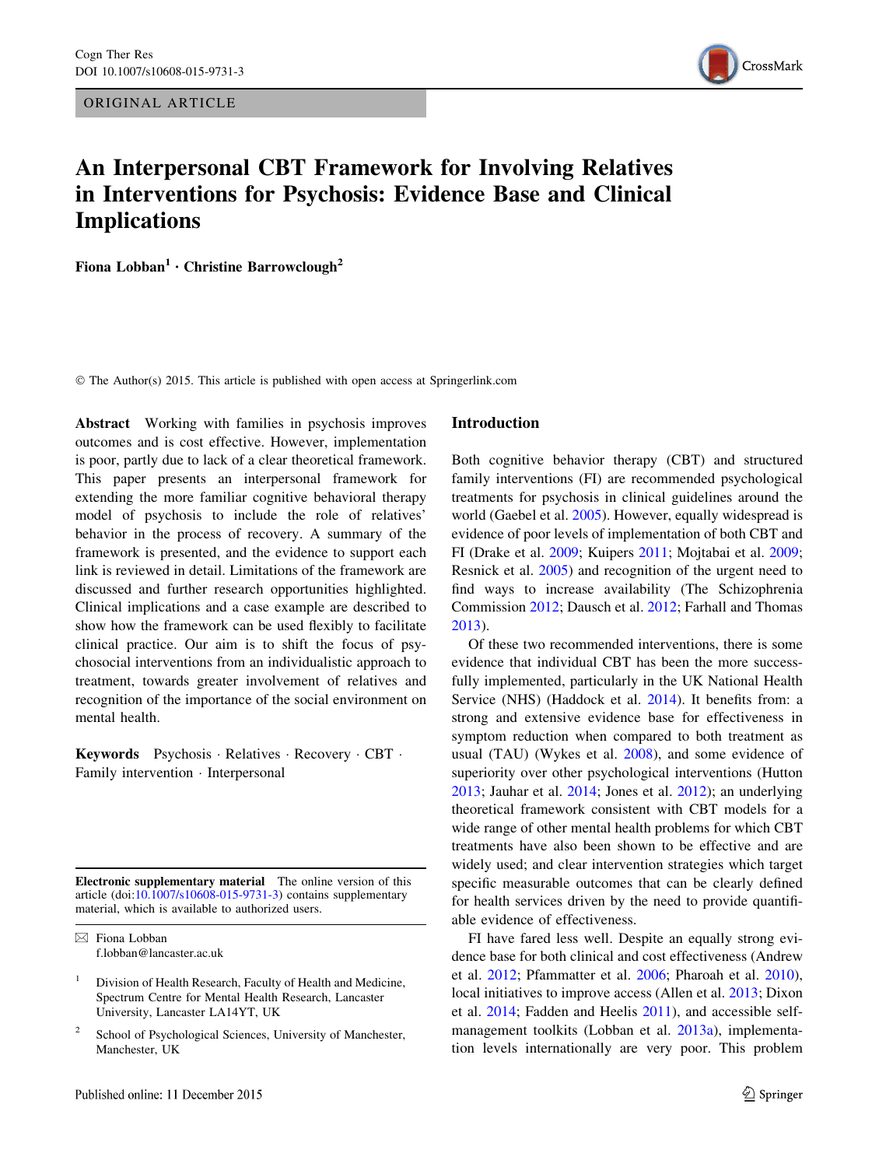ORIGINAL ARTICLE



# An Interpersonal CBT Framework for Involving Relatives in Interventions for Psychosis: Evidence Base and Clinical Implications

Fiona Lobban<sup>1</sup> • Christine Barrowclough<sup>2</sup>

© The Author(s) 2015. This article is published with open access at Springerlink.com

Abstract Working with families in psychosis improves outcomes and is cost effective. However, implementation is poor, partly due to lack of a clear theoretical framework. This paper presents an interpersonal framework for extending the more familiar cognitive behavioral therapy model of psychosis to include the role of relatives' behavior in the process of recovery. A summary of the framework is presented, and the evidence to support each link is reviewed in detail. Limitations of the framework are discussed and further research opportunities highlighted. Clinical implications and a case example are described to show how the framework can be used flexibly to facilitate clinical practice. Our aim is to shift the focus of psychosocial interventions from an individualistic approach to treatment, towards greater involvement of relatives and recognition of the importance of the social environment on mental health.

Keywords Psychosis · Relatives · Recovery · CBT · Family intervention - Interpersonal

Electronic supplementary material The online version of this article (doi:[10.1007/s10608-015-9731-3\)](http://dx.doi.org/10.1007/s10608-015-9731-3) contains supplementary material, which is available to authorized users.

 $\boxtimes$  Fiona Lobban f.lobban@lancaster.ac.uk

- <sup>1</sup> Division of Health Research, Faculty of Health and Medicine, Spectrum Centre for Mental Health Research, Lancaster University, Lancaster LA14YT, UK
- School of Psychological Sciences, University of Manchester, Manchester, UK

#### Introduction

Both cognitive behavior therapy (CBT) and structured family interventions (FI) are recommended psychological treatments for psychosis in clinical guidelines around the world (Gaebel et al. [2005\)](#page-15-0). However, equally widespread is evidence of poor levels of implementation of both CBT and FI (Drake et al. [2009](#page-14-0); Kuipers [2011;](#page-15-0) Mojtabai et al. [2009](#page-16-0); Resnick et al. [2005](#page-16-0)) and recognition of the urgent need to find ways to increase availability (The Schizophrenia Commission [2012](#page-16-0); Dausch et al. [2012;](#page-14-0) Farhall and Thomas [2013](#page-14-0)).

Of these two recommended interventions, there is some evidence that individual CBT has been the more successfully implemented, particularly in the UK National Health Service (NHS) (Haddock et al. [2014\)](#page-15-0). It benefits from: a strong and extensive evidence base for effectiveness in symptom reduction when compared to both treatment as usual (TAU) (Wykes et al. [2008\)](#page-17-0), and some evidence of superiority over other psychological interventions (Hutton [2013](#page-15-0); Jauhar et al. [2014;](#page-15-0) Jones et al. [2012](#page-15-0)); an underlying theoretical framework consistent with CBT models for a wide range of other mental health problems for which CBT treatments have also been shown to be effective and are widely used; and clear intervention strategies which target specific measurable outcomes that can be clearly defined for health services driven by the need to provide quantifiable evidence of effectiveness.

FI have fared less well. Despite an equally strong evidence base for both clinical and cost effectiveness (Andrew et al. [2012](#page-13-0); Pfammatter et al. [2006](#page-16-0); Pharoah et al. [2010](#page-16-0)), local initiatives to improve access (Allen et al. [2013](#page-13-0); Dixon et al. [2014;](#page-14-0) Fadden and Heelis [2011](#page-14-0)), and accessible selfmanagement toolkits (Lobban et al. [2013a\)](#page-16-0), implementation levels internationally are very poor. This problem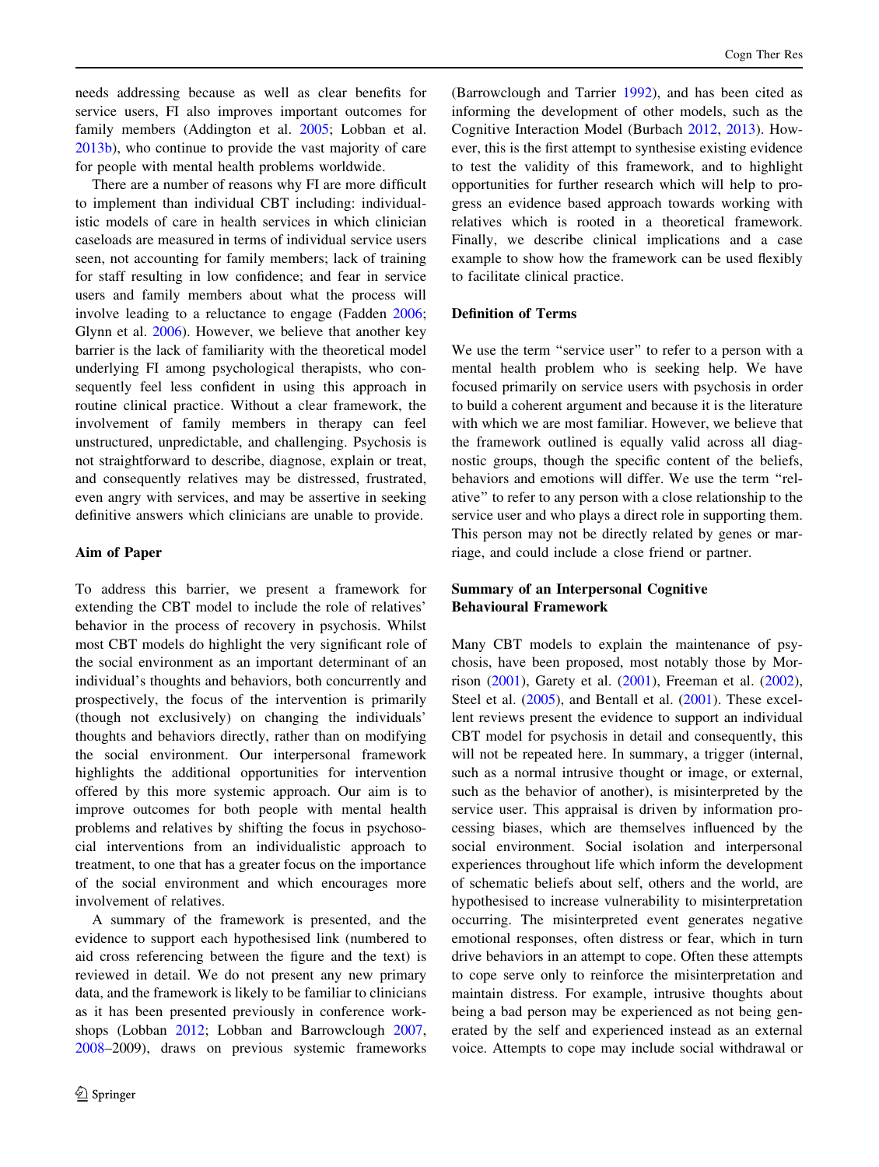needs addressing because as well as clear benefits for service users, FI also improves important outcomes for family members (Addington et al. [2005](#page-13-0); Lobban et al. [2013b\)](#page-16-0), who continue to provide the vast majority of care for people with mental health problems worldwide.

There are a number of reasons why FI are more difficult to implement than individual CBT including: individualistic models of care in health services in which clinician caseloads are measured in terms of individual service users seen, not accounting for family members; lack of training for staff resulting in low confidence; and fear in service users and family members about what the process will involve leading to a reluctance to engage (Fadden [2006](#page-14-0); Glynn et al. [2006](#page-15-0)). However, we believe that another key barrier is the lack of familiarity with the theoretical model underlying FI among psychological therapists, who consequently feel less confident in using this approach in routine clinical practice. Without a clear framework, the involvement of family members in therapy can feel unstructured, unpredictable, and challenging. Psychosis is not straightforward to describe, diagnose, explain or treat, and consequently relatives may be distressed, frustrated, even angry with services, and may be assertive in seeking definitive answers which clinicians are unable to provide.

#### Aim of Paper

To address this barrier, we present a framework for extending the CBT model to include the role of relatives' behavior in the process of recovery in psychosis. Whilst most CBT models do highlight the very significant role of the social environment as an important determinant of an individual's thoughts and behaviors, both concurrently and prospectively, the focus of the intervention is primarily (though not exclusively) on changing the individuals' thoughts and behaviors directly, rather than on modifying the social environment. Our interpersonal framework highlights the additional opportunities for intervention offered by this more systemic approach. Our aim is to improve outcomes for both people with mental health problems and relatives by shifting the focus in psychosocial interventions from an individualistic approach to treatment, to one that has a greater focus on the importance of the social environment and which encourages more involvement of relatives.

A summary of the framework is presented, and the evidence to support each hypothesised link (numbered to aid cross referencing between the figure and the text) is reviewed in detail. We do not present any new primary data, and the framework is likely to be familiar to clinicians as it has been presented previously in conference workshops (Lobban [2012;](#page-15-0) Lobban and Barrowclough [2007,](#page-15-0) [2008–](#page-16-0)2009), draws on previous systemic frameworks (Barrowclough and Tarrier [1992](#page-14-0)), and has been cited as informing the development of other models, such as the Cognitive Interaction Model (Burbach [2012](#page-14-0), [2013](#page-14-0)). However, this is the first attempt to synthesise existing evidence to test the validity of this framework, and to highlight opportunities for further research which will help to progress an evidence based approach towards working with relatives which is rooted in a theoretical framework. Finally, we describe clinical implications and a case example to show how the framework can be used flexibly to facilitate clinical practice.

#### Definition of Terms

We use the term "service user" to refer to a person with a mental health problem who is seeking help. We have focused primarily on service users with psychosis in order to build a coherent argument and because it is the literature with which we are most familiar. However, we believe that the framework outlined is equally valid across all diagnostic groups, though the specific content of the beliefs, behaviors and emotions will differ. We use the term ''relative'' to refer to any person with a close relationship to the service user and who plays a direct role in supporting them. This person may not be directly related by genes or marriage, and could include a close friend or partner.

# Summary of an Interpersonal Cognitive Behavioural Framework

Many CBT models to explain the maintenance of psychosis, have been proposed, most notably those by Morrison [\(2001](#page-16-0)), Garety et al. ([2001\)](#page-15-0), Freeman et al. [\(2002](#page-15-0)), Steel et al. ([2005\)](#page-16-0), and Bentall et al. [\(2001](#page-14-0)). These excellent reviews present the evidence to support an individual CBT model for psychosis in detail and consequently, this will not be repeated here. In summary, a trigger (internal, such as a normal intrusive thought or image, or external, such as the behavior of another), is misinterpreted by the service user. This appraisal is driven by information processing biases, which are themselves influenced by the social environment. Social isolation and interpersonal experiences throughout life which inform the development of schematic beliefs about self, others and the world, are hypothesised to increase vulnerability to misinterpretation occurring. The misinterpreted event generates negative emotional responses, often distress or fear, which in turn drive behaviors in an attempt to cope. Often these attempts to cope serve only to reinforce the misinterpretation and maintain distress. For example, intrusive thoughts about being a bad person may be experienced as not being generated by the self and experienced instead as an external voice. Attempts to cope may include social withdrawal or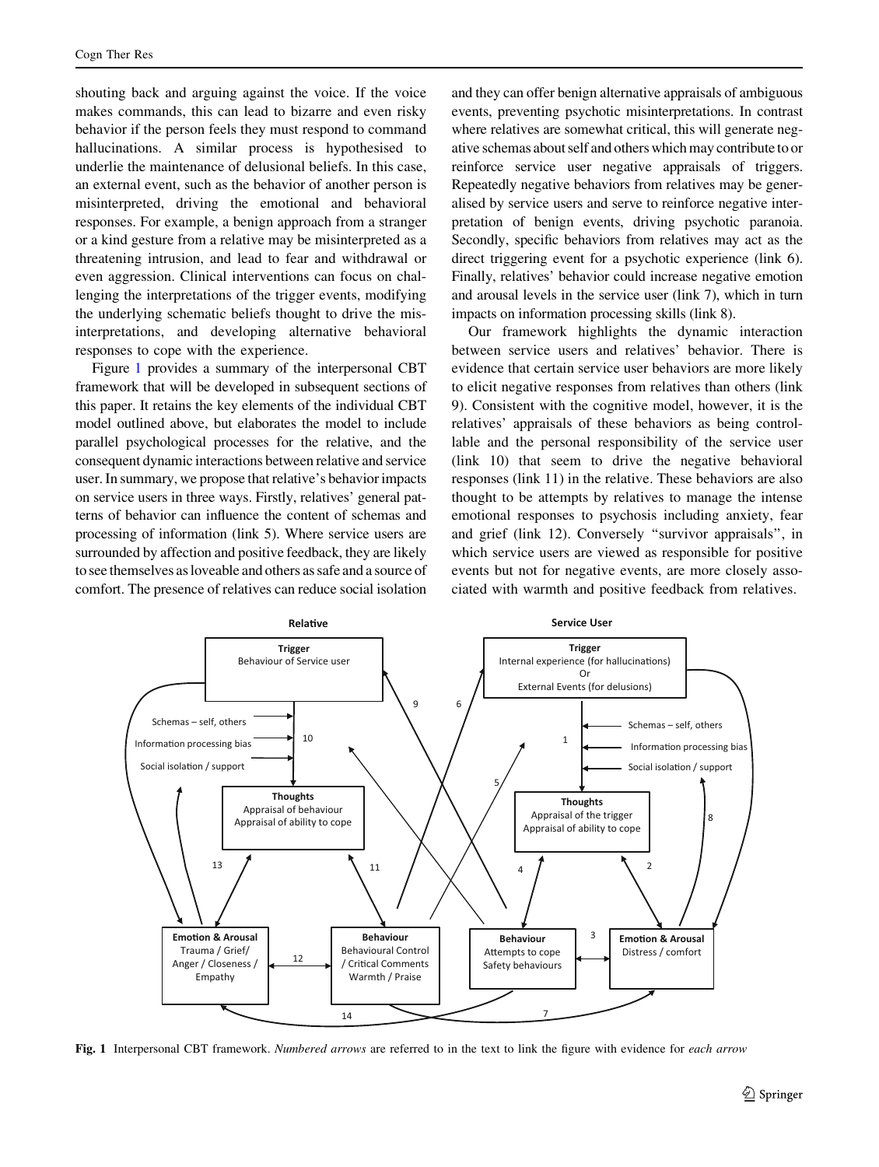<span id="page-2-0"></span>shouting back and arguing against the voice. If the voice makes commands, this can lead to bizarre and even risky behavior if the person feels they must respond to command hallucinations. A similar process is hypothesised to underlie the maintenance of delusional beliefs. In this case, an external event, such as the behavior of another person is misinterpreted, driving the emotional and behavioral responses. For example, a benign approach from a stranger or a kind gesture from a relative may be misinterpreted as a threatening intrusion, and lead to fear and withdrawal or even aggression. Clinical interventions can focus on challenging the interpretations of the trigger events, modifying the underlying schematic beliefs thought to drive the misinterpretations, and developing alternative behavioral responses to cope with the experience.

Figure 1 provides a summary of the interpersonal CBT framework that will be developed in subsequent sections of this paper. It retains the key elements of the individual CBT model outlined above, but elaborates the model to include parallel psychological processes for the relative, and the consequent dynamic interactions between relative and service user. In summary, we propose that relative's behavior impacts on service users in three ways. Firstly, relatives' general patterns of behavior can influence the content of schemas and processing of information (link 5). Where service users are surrounded by affection and positive feedback, they are likely to see themselves as loveable and others as safe and a source of comfort. The presence of relatives can reduce social isolation

and they can offer benign alternative appraisals of ambiguous events, preventing psychotic misinterpretations. In contrast where relatives are somewhat critical, this will generate negative schemas about self and others which may contribute to or reinforce service user negative appraisals of triggers. Repeatedly negative behaviors from relatives may be generalised by service users and serve to reinforce negative interpretation of benign events, driving psychotic paranoia. Secondly, specific behaviors from relatives may act as the direct triggering event for a psychotic experience (link 6). Finally, relatives' behavior could increase negative emotion and arousal levels in the service user (link 7), which in turn impacts on information processing skills (link 8).

Our framework highlights the dynamic interaction between service users and relatives' behavior. There is evidence that certain service user behaviors are more likely to elicit negative responses from relatives than others (link 9). Consistent with the cognitive model, however, it is the relatives' appraisals of these behaviors as being controllable and the personal responsibility of the service user (link 10) that seem to drive the negative behavioral responses (link 11) in the relative. These behaviors are also thought to be attempts by relatives to manage the intense emotional responses to psychosis including anxiety, fear and grief (link 12). Conversely ''survivor appraisals'', in which service users are viewed as responsible for positive events but not for negative events, are more closely associated with warmth and positive feedback from relatives.



Fig. 1 Interpersonal CBT framework. Numbered arrows are referred to in the text to link the figure with evidence for each arrow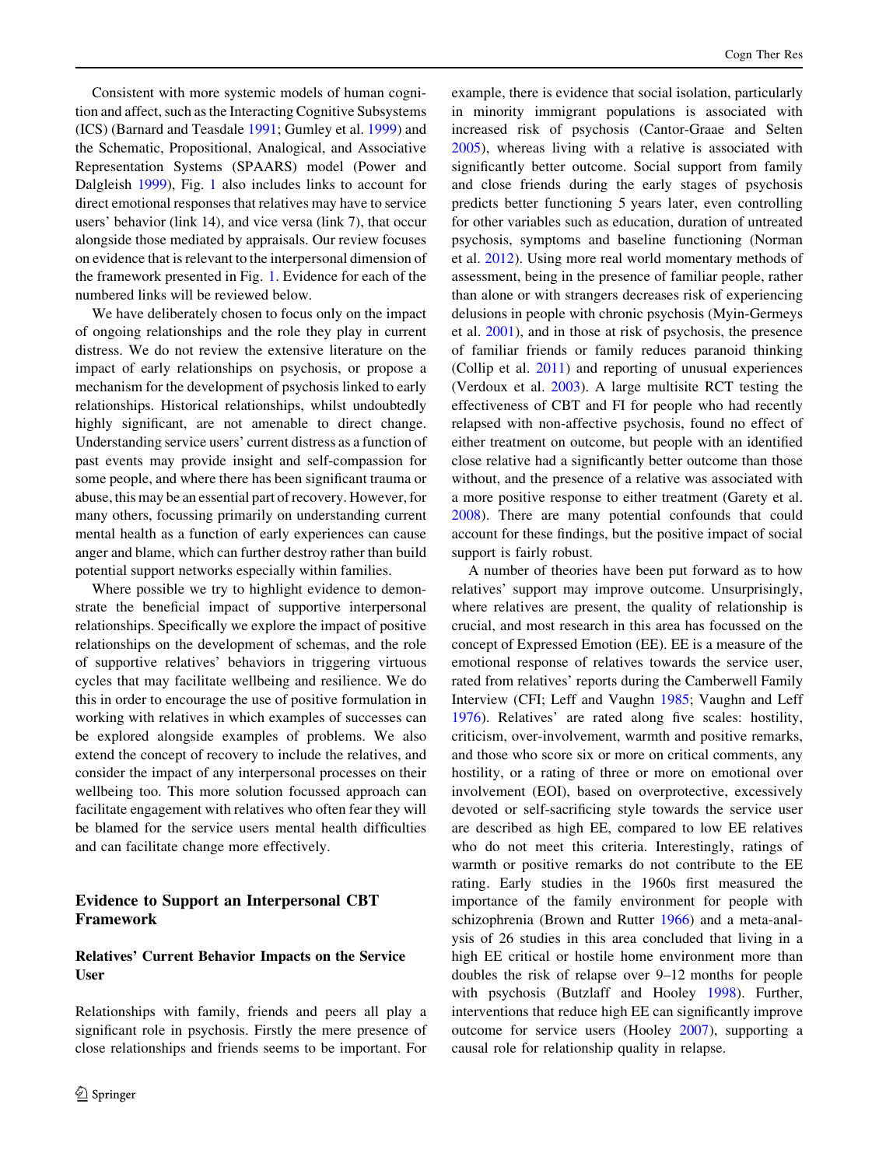Consistent with more systemic models of human cognition and affect, such as the Interacting Cognitive Subsystems (ICS) (Barnard and Teasdale [1991;](#page-13-0) Gumley et al. [1999](#page-15-0)) and the Schematic, Propositional, Analogical, and Associative Representation Systems (SPAARS) model (Power and Dalgleish [1999](#page-16-0)), Fig. [1](#page-2-0) also includes links to account for direct emotional responses that relatives may have to service users' behavior (link 14), and vice versa (link 7), that occur alongside those mediated by appraisals. Our review focuses on evidence that is relevant to the interpersonal dimension of the framework presented in Fig. [1.](#page-2-0) Evidence for each of the numbered links will be reviewed below.

We have deliberately chosen to focus only on the impact of ongoing relationships and the role they play in current distress. We do not review the extensive literature on the impact of early relationships on psychosis, or propose a mechanism for the development of psychosis linked to early relationships. Historical relationships, whilst undoubtedly highly significant, are not amenable to direct change. Understanding service users' current distress as a function of past events may provide insight and self-compassion for some people, and where there has been significant trauma or abuse, this may be an essential part of recovery. However, for many others, focussing primarily on understanding current mental health as a function of early experiences can cause anger and blame, which can further destroy rather than build potential support networks especially within families.

Where possible we try to highlight evidence to demonstrate the beneficial impact of supportive interpersonal relationships. Specifically we explore the impact of positive relationships on the development of schemas, and the role of supportive relatives' behaviors in triggering virtuous cycles that may facilitate wellbeing and resilience. We do this in order to encourage the use of positive formulation in working with relatives in which examples of successes can be explored alongside examples of problems. We also extend the concept of recovery to include the relatives, and consider the impact of any interpersonal processes on their wellbeing too. This more solution focussed approach can facilitate engagement with relatives who often fear they will be blamed for the service users mental health difficulties and can facilitate change more effectively.

### Evidence to Support an Interpersonal CBT Framework

## Relatives' Current Behavior Impacts on the Service User

Relationships with family, friends and peers all play a significant role in psychosis. Firstly the mere presence of close relationships and friends seems to be important. For example, there is evidence that social isolation, particularly in minority immigrant populations is associated with increased risk of psychosis (Cantor-Graae and Selten [2005](#page-14-0)), whereas living with a relative is associated with significantly better outcome. Social support from family and close friends during the early stages of psychosis predicts better functioning 5 years later, even controlling for other variables such as education, duration of untreated psychosis, symptoms and baseline functioning (Norman et al. [2012\)](#page-16-0). Using more real world momentary methods of assessment, being in the presence of familiar people, rather than alone or with strangers decreases risk of experiencing delusions in people with chronic psychosis (Myin-Germeys et al. [2001](#page-16-0)), and in those at risk of psychosis, the presence of familiar friends or family reduces paranoid thinking (Collip et al. [2011](#page-14-0)) and reporting of unusual experiences (Verdoux et al. [2003\)](#page-17-0). A large multisite RCT testing the effectiveness of CBT and FI for people who had recently relapsed with non-affective psychosis, found no effect of either treatment on outcome, but people with an identified close relative had a significantly better outcome than those without, and the presence of a relative was associated with a more positive response to either treatment (Garety et al. [2008](#page-15-0)). There are many potential confounds that could account for these findings, but the positive impact of social support is fairly robust.

A number of theories have been put forward as to how relatives' support may improve outcome. Unsurprisingly, where relatives are present, the quality of relationship is crucial, and most research in this area has focussed on the concept of Expressed Emotion (EE). EE is a measure of the emotional response of relatives towards the service user, rated from relatives' reports during the Camberwell Family Interview (CFI; Leff and Vaughn [1985](#page-15-0); Vaughn and Leff [1976](#page-17-0)). Relatives' are rated along five scales: hostility, criticism, over-involvement, warmth and positive remarks, and those who score six or more on critical comments, any hostility, or a rating of three or more on emotional over involvement (EOI), based on overprotective, excessively devoted or self-sacrificing style towards the service user are described as high EE, compared to low EE relatives who do not meet this criteria. Interestingly, ratings of warmth or positive remarks do not contribute to the EE rating. Early studies in the 1960s first measured the importance of the family environment for people with schizophrenia (Brown and Rutter [1966](#page-14-0)) and a meta-analysis of 26 studies in this area concluded that living in a high EE critical or hostile home environment more than doubles the risk of relapse over 9–12 months for people with psychosis (Butzlaff and Hooley [1998](#page-14-0)). Further, interventions that reduce high EE can significantly improve outcome for service users (Hooley [2007\)](#page-15-0), supporting a causal role for relationship quality in relapse.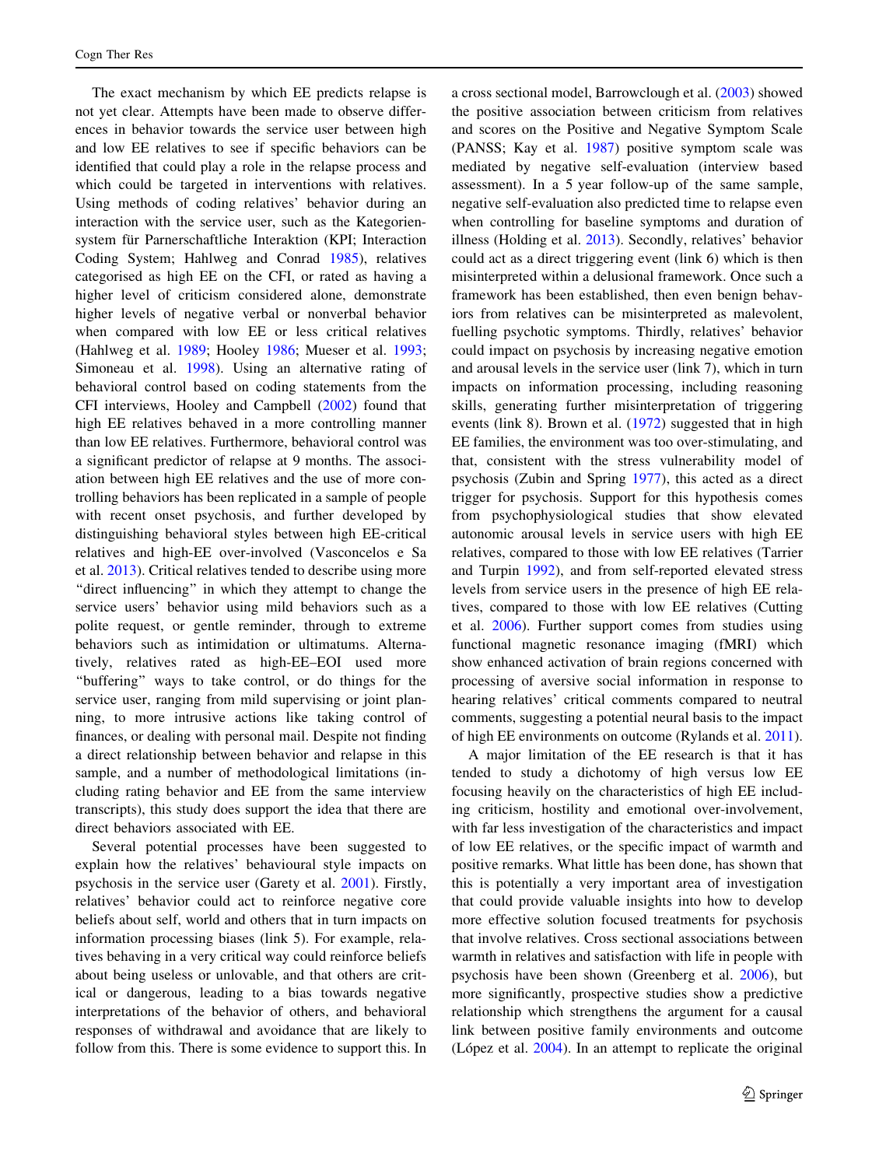The exact mechanism by which EE predicts relapse is not yet clear. Attempts have been made to observe differences in behavior towards the service user between high and low EE relatives to see if specific behaviors can be identified that could play a role in the relapse process and which could be targeted in interventions with relatives. Using methods of coding relatives' behavior during an interaction with the service user, such as the Kategoriensystem für Parnerschaftliche Interaktion (KPI; Interaction Coding System; Hahlweg and Conrad [1985](#page-15-0)), relatives categorised as high EE on the CFI, or rated as having a higher level of criticism considered alone, demonstrate higher levels of negative verbal or nonverbal behavior when compared with low EE or less critical relatives (Hahlweg et al. [1989;](#page-15-0) Hooley [1986](#page-15-0); Mueser et al. [1993](#page-16-0); Simoneau et al. [1998\)](#page-16-0). Using an alternative rating of behavioral control based on coding statements from the CFI interviews, Hooley and Campbell ([2002\)](#page-15-0) found that high EE relatives behaved in a more controlling manner than low EE relatives. Furthermore, behavioral control was a significant predictor of relapse at 9 months. The association between high EE relatives and the use of more controlling behaviors has been replicated in a sample of people with recent onset psychosis, and further developed by distinguishing behavioral styles between high EE-critical relatives and high-EE over-involved (Vasconcelos e Sa et al. [2013\)](#page-17-0). Critical relatives tended to describe using more ''direct influencing'' in which they attempt to change the service users' behavior using mild behaviors such as a polite request, or gentle reminder, through to extreme behaviors such as intimidation or ultimatums. Alternatively, relatives rated as high-EE–EOI used more ''buffering'' ways to take control, or do things for the service user, ranging from mild supervising or joint planning, to more intrusive actions like taking control of finances, or dealing with personal mail. Despite not finding a direct relationship between behavior and relapse in this sample, and a number of methodological limitations (including rating behavior and EE from the same interview transcripts), this study does support the idea that there are direct behaviors associated with EE.

Several potential processes have been suggested to explain how the relatives' behavioural style impacts on psychosis in the service user (Garety et al. [2001](#page-15-0)). Firstly, relatives' behavior could act to reinforce negative core beliefs about self, world and others that in turn impacts on information processing biases (link 5). For example, relatives behaving in a very critical way could reinforce beliefs about being useless or unlovable, and that others are critical or dangerous, leading to a bias towards negative interpretations of the behavior of others, and behavioral responses of withdrawal and avoidance that are likely to follow from this. There is some evidence to support this. In a cross sectional model, Barrowclough et al. [\(2003](#page-14-0)) showed the positive association between criticism from relatives and scores on the Positive and Negative Symptom Scale (PANSS; Kay et al. [1987\)](#page-15-0) positive symptom scale was mediated by negative self-evaluation (interview based assessment). In a 5 year follow-up of the same sample, negative self-evaluation also predicted time to relapse even when controlling for baseline symptoms and duration of illness (Holding et al. [2013](#page-15-0)). Secondly, relatives' behavior could act as a direct triggering event (link 6) which is then misinterpreted within a delusional framework. Once such a framework has been established, then even benign behaviors from relatives can be misinterpreted as malevolent, fuelling psychotic symptoms. Thirdly, relatives' behavior could impact on psychosis by increasing negative emotion and arousal levels in the service user (link 7), which in turn impacts on information processing, including reasoning skills, generating further misinterpretation of triggering events (link 8). Brown et al. [\(1972](#page-14-0)) suggested that in high EE families, the environment was too over-stimulating, and that, consistent with the stress vulnerability model of psychosis (Zubin and Spring [1977](#page-17-0)), this acted as a direct trigger for psychosis. Support for this hypothesis comes from psychophysiological studies that show elevated autonomic arousal levels in service users with high EE relatives, compared to those with low EE relatives (Tarrier and Turpin [1992](#page-16-0)), and from self-reported elevated stress levels from service users in the presence of high EE relatives, compared to those with low EE relatives (Cutting et al. [2006\)](#page-14-0). Further support comes from studies using functional magnetic resonance imaging (fMRI) which show enhanced activation of brain regions concerned with processing of aversive social information in response to hearing relatives' critical comments compared to neutral comments, suggesting a potential neural basis to the impact of high EE environments on outcome (Rylands et al. [2011](#page-16-0)).

A major limitation of the EE research is that it has tended to study a dichotomy of high versus low EE focusing heavily on the characteristics of high EE including criticism, hostility and emotional over-involvement, with far less investigation of the characteristics and impact of low EE relatives, or the specific impact of warmth and positive remarks. What little has been done, has shown that this is potentially a very important area of investigation that could provide valuable insights into how to develop more effective solution focused treatments for psychosis that involve relatives. Cross sectional associations between warmth in relatives and satisfaction with life in people with psychosis have been shown (Greenberg et al. [2006](#page-15-0)), but more significantly, prospective studies show a predictive relationship which strengthens the argument for a causal link between positive family environments and outcome (López et al.  $2004$ ). In an attempt to replicate the original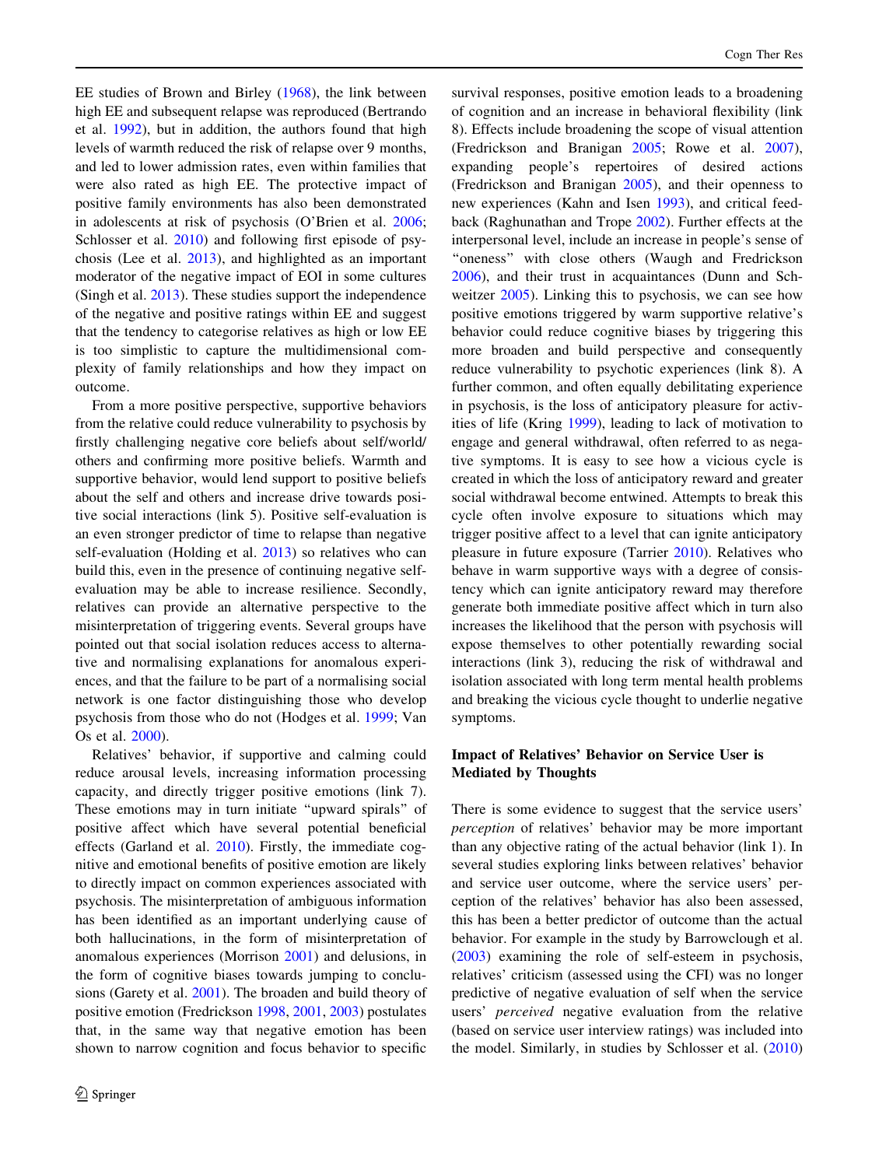EE studies of Brown and Birley [\(1968](#page-14-0)), the link between high EE and subsequent relapse was reproduced (Bertrando et al. [1992](#page-14-0)), but in addition, the authors found that high levels of warmth reduced the risk of relapse over 9 months, and led to lower admission rates, even within families that were also rated as high EE. The protective impact of positive family environments has also been demonstrated in adolescents at risk of psychosis (O'Brien et al. [2006](#page-16-0); Schlosser et al. [2010\)](#page-16-0) and following first episode of psychosis (Lee et al. [2013\)](#page-15-0), and highlighted as an important moderator of the negative impact of EOI in some cultures (Singh et al. [2013](#page-16-0)). These studies support the independence of the negative and positive ratings within EE and suggest that the tendency to categorise relatives as high or low EE is too simplistic to capture the multidimensional complexity of family relationships and how they impact on outcome.

From a more positive perspective, supportive behaviors from the relative could reduce vulnerability to psychosis by firstly challenging negative core beliefs about self/world/ others and confirming more positive beliefs. Warmth and supportive behavior, would lend support to positive beliefs about the self and others and increase drive towards positive social interactions (link 5). Positive self-evaluation is an even stronger predictor of time to relapse than negative self-evaluation (Holding et al. [2013\)](#page-15-0) so relatives who can build this, even in the presence of continuing negative selfevaluation may be able to increase resilience. Secondly, relatives can provide an alternative perspective to the misinterpretation of triggering events. Several groups have pointed out that social isolation reduces access to alternative and normalising explanations for anomalous experiences, and that the failure to be part of a normalising social network is one factor distinguishing those who develop psychosis from those who do not (Hodges et al. [1999;](#page-15-0) Van Os et al. [2000](#page-16-0)).

Relatives' behavior, if supportive and calming could reduce arousal levels, increasing information processing capacity, and directly trigger positive emotions (link 7). These emotions may in turn initiate ''upward spirals'' of positive affect which have several potential beneficial effects (Garland et al. [2010](#page-15-0)). Firstly, the immediate cognitive and emotional benefits of positive emotion are likely to directly impact on common experiences associated with psychosis. The misinterpretation of ambiguous information has been identified as an important underlying cause of both hallucinations, in the form of misinterpretation of anomalous experiences (Morrison [2001\)](#page-16-0) and delusions, in the form of cognitive biases towards jumping to conclusions (Garety et al. [2001](#page-15-0)). The broaden and build theory of positive emotion (Fredrickson [1998,](#page-14-0) [2001,](#page-14-0) [2003](#page-14-0)) postulates that, in the same way that negative emotion has been shown to narrow cognition and focus behavior to specific

survival responses, positive emotion leads to a broadening of cognition and an increase in behavioral flexibility (link 8). Effects include broadening the scope of visual attention (Fredrickson and Branigan [2005](#page-14-0); Rowe et al. [2007](#page-16-0)), expanding people's repertoires of desired actions (Fredrickson and Branigan [2005](#page-14-0)), and their openness to new experiences (Kahn and Isen [1993](#page-15-0)), and critical feedback (Raghunathan and Trope [2002](#page-16-0)). Further effects at the interpersonal level, include an increase in people's sense of "oneness" with close others (Waugh and Fredrickson [2006](#page-17-0)), and their trust in acquaintances (Dunn and Schweitzer [2005](#page-14-0)). Linking this to psychosis, we can see how positive emotions triggered by warm supportive relative's behavior could reduce cognitive biases by triggering this more broaden and build perspective and consequently reduce vulnerability to psychotic experiences (link 8). A further common, and often equally debilitating experience in psychosis, is the loss of anticipatory pleasure for activities of life (Kring [1999\)](#page-15-0), leading to lack of motivation to engage and general withdrawal, often referred to as negative symptoms. It is easy to see how a vicious cycle is created in which the loss of anticipatory reward and greater social withdrawal become entwined. Attempts to break this cycle often involve exposure to situations which may trigger positive affect to a level that can ignite anticipatory pleasure in future exposure (Tarrier [2010\)](#page-16-0). Relatives who behave in warm supportive ways with a degree of consistency which can ignite anticipatory reward may therefore generate both immediate positive affect which in turn also increases the likelihood that the person with psychosis will expose themselves to other potentially rewarding social interactions (link 3), reducing the risk of withdrawal and isolation associated with long term mental health problems and breaking the vicious cycle thought to underlie negative symptoms.

## Impact of Relatives' Behavior on Service User is Mediated by Thoughts

There is some evidence to suggest that the service users' perception of relatives' behavior may be more important than any objective rating of the actual behavior (link 1). In several studies exploring links between relatives' behavior and service user outcome, where the service users' perception of the relatives' behavior has also been assessed, this has been a better predictor of outcome than the actual behavior. For example in the study by Barrowclough et al. [\(2003](#page-14-0)) examining the role of self-esteem in psychosis, relatives' criticism (assessed using the CFI) was no longer predictive of negative evaluation of self when the service users' perceived negative evaluation from the relative (based on service user interview ratings) was included into the model. Similarly, in studies by Schlosser et al. ([2010\)](#page-16-0)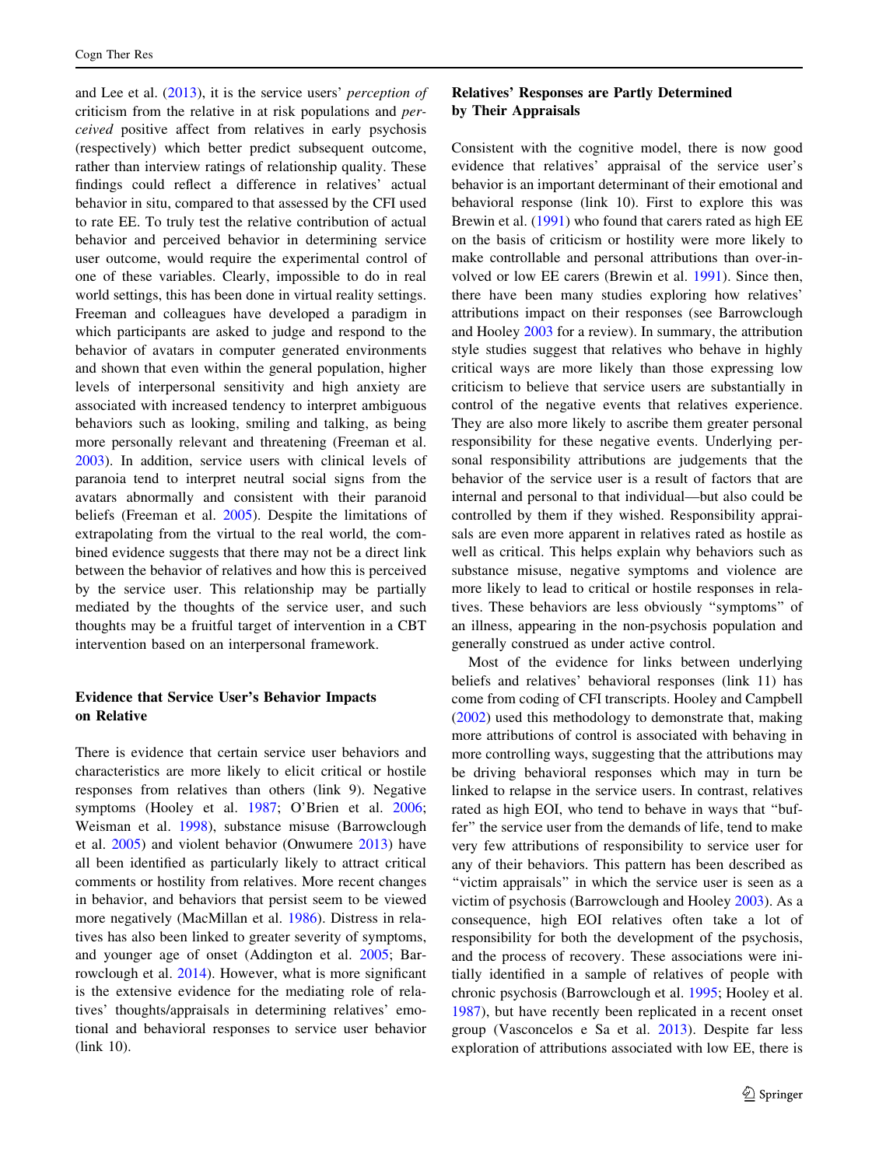and Lee et al. ([2013\)](#page-15-0), it is the service users' perception of criticism from the relative in at risk populations and perceived positive affect from relatives in early psychosis (respectively) which better predict subsequent outcome, rather than interview ratings of relationship quality. These findings could reflect a difference in relatives' actual behavior in situ, compared to that assessed by the CFI used to rate EE. To truly test the relative contribution of actual behavior and perceived behavior in determining service user outcome, would require the experimental control of one of these variables. Clearly, impossible to do in real world settings, this has been done in virtual reality settings. Freeman and colleagues have developed a paradigm in which participants are asked to judge and respond to the behavior of avatars in computer generated environments and shown that even within the general population, higher levels of interpersonal sensitivity and high anxiety are associated with increased tendency to interpret ambiguous behaviors such as looking, smiling and talking, as being more personally relevant and threatening (Freeman et al. [2003\)](#page-15-0). In addition, service users with clinical levels of paranoia tend to interpret neutral social signs from the avatars abnormally and consistent with their paranoid beliefs (Freeman et al. [2005](#page-14-0)). Despite the limitations of extrapolating from the virtual to the real world, the combined evidence suggests that there may not be a direct link between the behavior of relatives and how this is perceived by the service user. This relationship may be partially mediated by the thoughts of the service user, and such thoughts may be a fruitful target of intervention in a CBT intervention based on an interpersonal framework.

# Evidence that Service User's Behavior Impacts on Relative

There is evidence that certain service user behaviors and characteristics are more likely to elicit critical or hostile responses from relatives than others (link 9). Negative symptoms (Hooley et al. [1987;](#page-15-0) O'Brien et al. [2006](#page-16-0); Weisman et al. [1998\)](#page-17-0), substance misuse (Barrowclough et al. [2005\)](#page-14-0) and violent behavior (Onwumere [2013](#page-16-0)) have all been identified as particularly likely to attract critical comments or hostility from relatives. More recent changes in behavior, and behaviors that persist seem to be viewed more negatively (MacMillan et al. [1986\)](#page-16-0). Distress in relatives has also been linked to greater severity of symptoms, and younger age of onset (Addington et al. [2005;](#page-13-0) Barrowclough et al. [2014](#page-13-0)). However, what is more significant is the extensive evidence for the mediating role of relatives' thoughts/appraisals in determining relatives' emotional and behavioral responses to service user behavior (link 10).

### Relatives' Responses are Partly Determined by Their Appraisals

Consistent with the cognitive model, there is now good evidence that relatives' appraisal of the service user's behavior is an important determinant of their emotional and behavioral response (link 10). First to explore this was Brewin et al. [\(1991](#page-14-0)) who found that carers rated as high EE on the basis of criticism or hostility were more likely to make controllable and personal attributions than over-involved or low EE carers (Brewin et al. [1991\)](#page-14-0). Since then, there have been many studies exploring how relatives' attributions impact on their responses (see Barrowclough and Hooley [2003](#page-13-0) for a review). In summary, the attribution style studies suggest that relatives who behave in highly critical ways are more likely than those expressing low criticism to believe that service users are substantially in control of the negative events that relatives experience. They are also more likely to ascribe them greater personal responsibility for these negative events. Underlying personal responsibility attributions are judgements that the behavior of the service user is a result of factors that are internal and personal to that individual—but also could be controlled by them if they wished. Responsibility appraisals are even more apparent in relatives rated as hostile as well as critical. This helps explain why behaviors such as substance misuse, negative symptoms and violence are more likely to lead to critical or hostile responses in relatives. These behaviors are less obviously ''symptoms'' of an illness, appearing in the non-psychosis population and generally construed as under active control.

Most of the evidence for links between underlying beliefs and relatives' behavioral responses (link 11) has come from coding of CFI transcripts. Hooley and Campbell [\(2002](#page-15-0)) used this methodology to demonstrate that, making more attributions of control is associated with behaving in more controlling ways, suggesting that the attributions may be driving behavioral responses which may in turn be linked to relapse in the service users. In contrast, relatives rated as high EOI, who tend to behave in ways that ''buffer'' the service user from the demands of life, tend to make very few attributions of responsibility to service user for any of their behaviors. This pattern has been described as ''victim appraisals'' in which the service user is seen as a victim of psychosis (Barrowclough and Hooley [2003](#page-13-0)). As a consequence, high EOI relatives often take a lot of responsibility for both the development of the psychosis, and the process of recovery. These associations were initially identified in a sample of relatives of people with chronic psychosis (Barrowclough et al. [1995;](#page-14-0) Hooley et al. [1987](#page-15-0)), but have recently been replicated in a recent onset group (Vasconcelos e Sa et al. [2013](#page-17-0)). Despite far less exploration of attributions associated with low EE, there is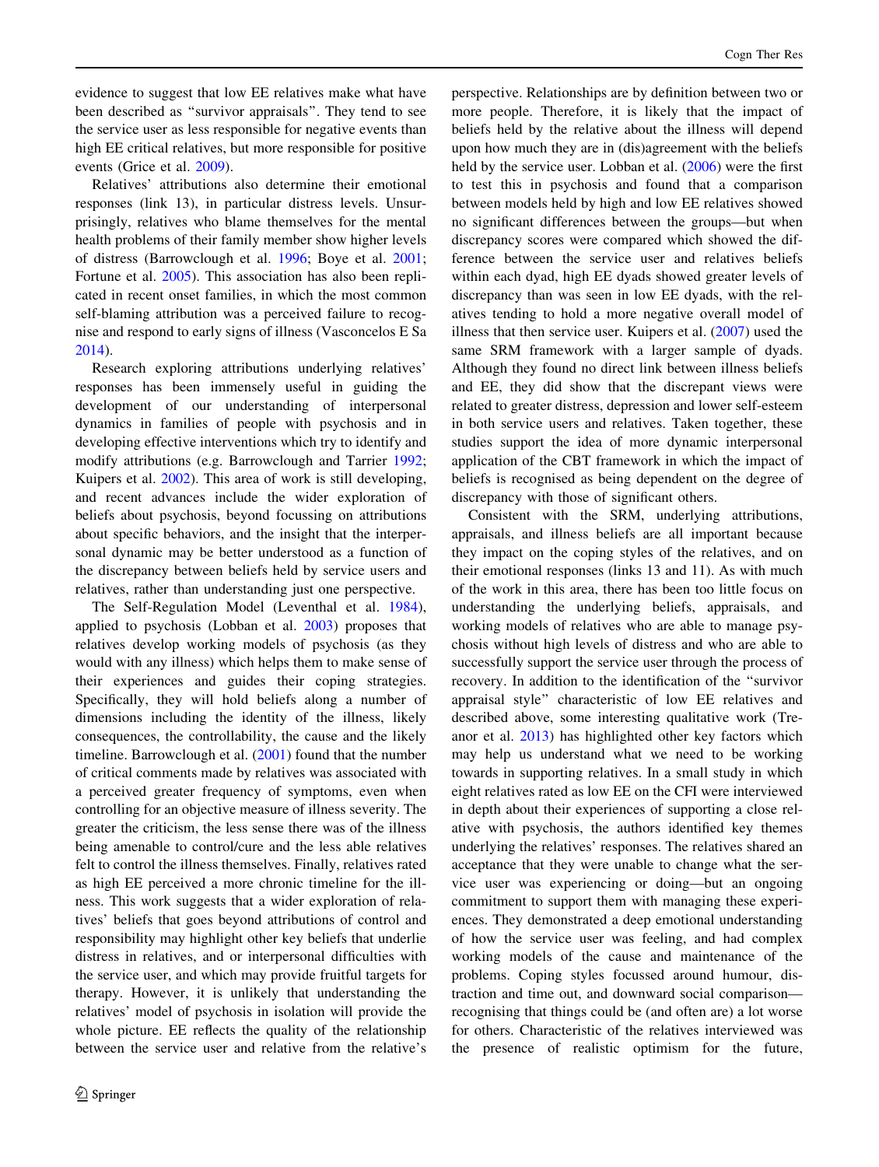evidence to suggest that low EE relatives make what have been described as ''survivor appraisals''. They tend to see the service user as less responsible for negative events than high EE critical relatives, but more responsible for positive events (Grice et al. [2009\)](#page-15-0).

Relatives' attributions also determine their emotional responses (link 13), in particular distress levels. Unsurprisingly, relatives who blame themselves for the mental health problems of their family member show higher levels of distress (Barrowclough et al. [1996](#page-14-0); Boye et al. [2001](#page-14-0); Fortune et al. [2005\)](#page-14-0). This association has also been replicated in recent onset families, in which the most common self-blaming attribution was a perceived failure to recognise and respond to early signs of illness (Vasconcelos E Sa [2014\)](#page-17-0).

Research exploring attributions underlying relatives' responses has been immensely useful in guiding the development of our understanding of interpersonal dynamics in families of people with psychosis and in developing effective interventions which try to identify and modify attributions (e.g. Barrowclough and Tarrier [1992](#page-14-0); Kuipers et al. [2002](#page-15-0)). This area of work is still developing, and recent advances include the wider exploration of beliefs about psychosis, beyond focussing on attributions about specific behaviors, and the insight that the interpersonal dynamic may be better understood as a function of the discrepancy between beliefs held by service users and relatives, rather than understanding just one perspective.

The Self-Regulation Model (Leventhal et al. [1984](#page-15-0)), applied to psychosis (Lobban et al. [2003\)](#page-16-0) proposes that relatives develop working models of psychosis (as they would with any illness) which helps them to make sense of their experiences and guides their coping strategies. Specifically, they will hold beliefs along a number of dimensions including the identity of the illness, likely consequences, the controllability, the cause and the likely timeline. Barrowclough et al. [\(2001](#page-14-0)) found that the number of critical comments made by relatives was associated with a perceived greater frequency of symptoms, even when controlling for an objective measure of illness severity. The greater the criticism, the less sense there was of the illness being amenable to control/cure and the less able relatives felt to control the illness themselves. Finally, relatives rated as high EE perceived a more chronic timeline for the illness. This work suggests that a wider exploration of relatives' beliefs that goes beyond attributions of control and responsibility may highlight other key beliefs that underlie distress in relatives, and or interpersonal difficulties with the service user, and which may provide fruitful targets for therapy. However, it is unlikely that understanding the relatives' model of psychosis in isolation will provide the whole picture. EE reflects the quality of the relationship between the service user and relative from the relative's perspective. Relationships are by definition between two or more people. Therefore, it is likely that the impact of beliefs held by the relative about the illness will depend upon how much they are in (dis)agreement with the beliefs held by the service user. Lobban et al. ([2006\)](#page-16-0) were the first to test this in psychosis and found that a comparison between models held by high and low EE relatives showed no significant differences between the groups—but when discrepancy scores were compared which showed the difference between the service user and relatives beliefs within each dyad, high EE dyads showed greater levels of discrepancy than was seen in low EE dyads, with the relatives tending to hold a more negative overall model of illness that then service user. Kuipers et al. [\(2007\)](#page-15-0) used the same SRM framework with a larger sample of dyads. Although they found no direct link between illness beliefs and EE, they did show that the discrepant views were related to greater distress, depression and lower self-esteem in both service users and relatives. Taken together, these studies support the idea of more dynamic interpersonal application of the CBT framework in which the impact of beliefs is recognised as being dependent on the degree of discrepancy with those of significant others.

Consistent with the SRM, underlying attributions, appraisals, and illness beliefs are all important because they impact on the coping styles of the relatives, and on their emotional responses (links 13 and 11). As with much of the work in this area, there has been too little focus on understanding the underlying beliefs, appraisals, and working models of relatives who are able to manage psychosis without high levels of distress and who are able to successfully support the service user through the process of recovery. In addition to the identification of the ''survivor appraisal style'' characteristic of low EE relatives and described above, some interesting qualitative work (Treanor et al. [2013](#page-16-0)) has highlighted other key factors which may help us understand what we need to be working towards in supporting relatives. In a small study in which eight relatives rated as low EE on the CFI were interviewed in depth about their experiences of supporting a close relative with psychosis, the authors identified key themes underlying the relatives' responses. The relatives shared an acceptance that they were unable to change what the service user was experiencing or doing—but an ongoing commitment to support them with managing these experiences. They demonstrated a deep emotional understanding of how the service user was feeling, and had complex working models of the cause and maintenance of the problems. Coping styles focussed around humour, distraction and time out, and downward social comparison recognising that things could be (and often are) a lot worse for others. Characteristic of the relatives interviewed was the presence of realistic optimism for the future,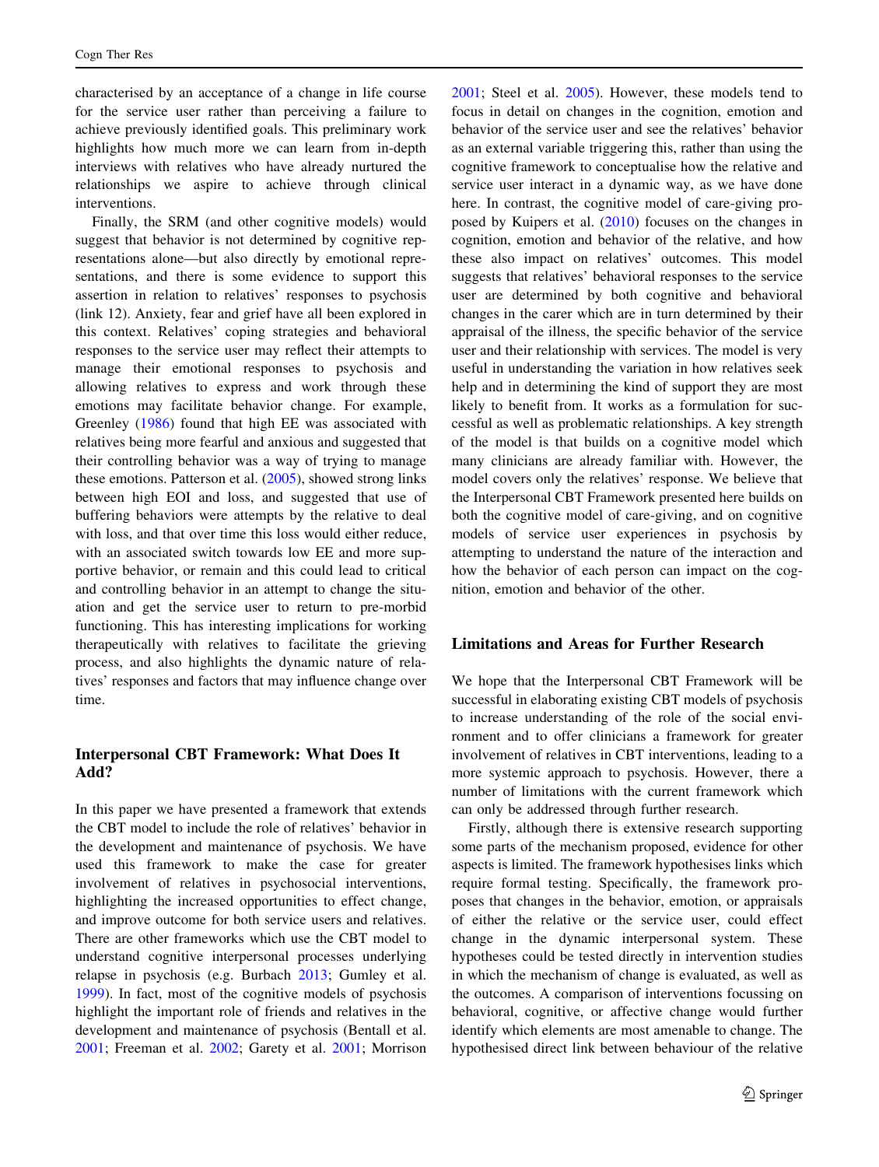characterised by an acceptance of a change in life course for the service user rather than perceiving a failure to achieve previously identified goals. This preliminary work highlights how much more we can learn from in-depth interviews with relatives who have already nurtured the relationships we aspire to achieve through clinical interventions.

Finally, the SRM (and other cognitive models) would suggest that behavior is not determined by cognitive representations alone—but also directly by emotional representations, and there is some evidence to support this assertion in relation to relatives' responses to psychosis (link 12). Anxiety, fear and grief have all been explored in this context. Relatives' coping strategies and behavioral responses to the service user may reflect their attempts to manage their emotional responses to psychosis and allowing relatives to express and work through these emotions may facilitate behavior change. For example, Greenley [\(1986](#page-15-0)) found that high EE was associated with relatives being more fearful and anxious and suggested that their controlling behavior was a way of trying to manage these emotions. Patterson et al. ([2005\)](#page-16-0), showed strong links between high EOI and loss, and suggested that use of buffering behaviors were attempts by the relative to deal with loss, and that over time this loss would either reduce, with an associated switch towards low EE and more supportive behavior, or remain and this could lead to critical and controlling behavior in an attempt to change the situation and get the service user to return to pre-morbid functioning. This has interesting implications for working therapeutically with relatives to facilitate the grieving process, and also highlights the dynamic nature of relatives' responses and factors that may influence change over time.

# Interpersonal CBT Framework: What Does It Add?

In this paper we have presented a framework that extends the CBT model to include the role of relatives' behavior in the development and maintenance of psychosis. We have used this framework to make the case for greater involvement of relatives in psychosocial interventions, highlighting the increased opportunities to effect change, and improve outcome for both service users and relatives. There are other frameworks which use the CBT model to understand cognitive interpersonal processes underlying relapse in psychosis (e.g. Burbach [2013](#page-14-0); Gumley et al. [1999\)](#page-15-0). In fact, most of the cognitive models of psychosis highlight the important role of friends and relatives in the development and maintenance of psychosis (Bentall et al. [2001;](#page-14-0) Freeman et al. [2002;](#page-15-0) Garety et al. [2001](#page-15-0); Morrison

[2001](#page-16-0); Steel et al. [2005](#page-16-0)). However, these models tend to focus in detail on changes in the cognition, emotion and behavior of the service user and see the relatives' behavior as an external variable triggering this, rather than using the cognitive framework to conceptualise how the relative and service user interact in a dynamic way, as we have done here. In contrast, the cognitive model of care-giving proposed by Kuipers et al. [\(2010](#page-15-0)) focuses on the changes in cognition, emotion and behavior of the relative, and how these also impact on relatives' outcomes. This model suggests that relatives' behavioral responses to the service user are determined by both cognitive and behavioral changes in the carer which are in turn determined by their appraisal of the illness, the specific behavior of the service user and their relationship with services. The model is very useful in understanding the variation in how relatives seek help and in determining the kind of support they are most likely to benefit from. It works as a formulation for successful as well as problematic relationships. A key strength of the model is that builds on a cognitive model which many clinicians are already familiar with. However, the model covers only the relatives' response. We believe that the Interpersonal CBT Framework presented here builds on both the cognitive model of care-giving, and on cognitive models of service user experiences in psychosis by attempting to understand the nature of the interaction and how the behavior of each person can impact on the cognition, emotion and behavior of the other.

# Limitations and Areas for Further Research

We hope that the Interpersonal CBT Framework will be successful in elaborating existing CBT models of psychosis to increase understanding of the role of the social environment and to offer clinicians a framework for greater involvement of relatives in CBT interventions, leading to a more systemic approach to psychosis. However, there a number of limitations with the current framework which can only be addressed through further research.

Firstly, although there is extensive research supporting some parts of the mechanism proposed, evidence for other aspects is limited. The framework hypothesises links which require formal testing. Specifically, the framework proposes that changes in the behavior, emotion, or appraisals of either the relative or the service user, could effect change in the dynamic interpersonal system. These hypotheses could be tested directly in intervention studies in which the mechanism of change is evaluated, as well as the outcomes. A comparison of interventions focussing on behavioral, cognitive, or affective change would further identify which elements are most amenable to change. The hypothesised direct link between behaviour of the relative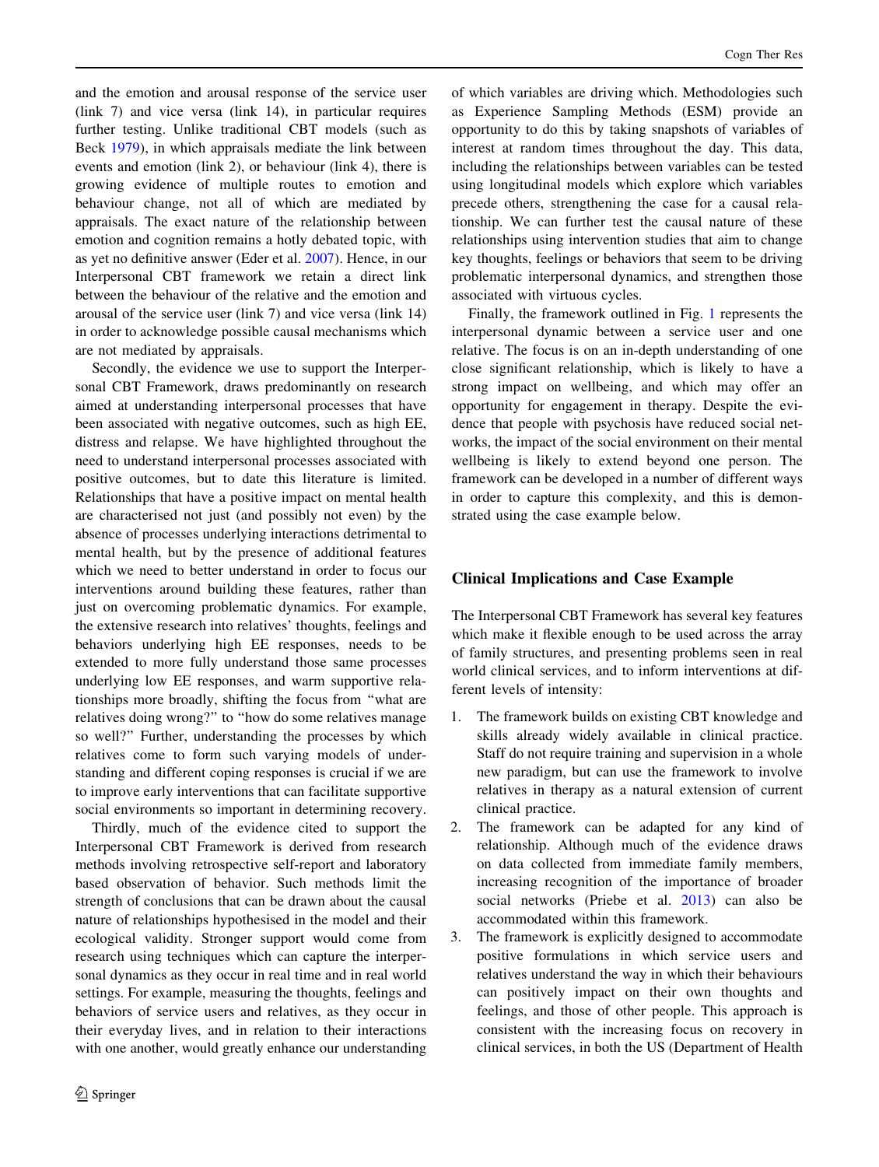and the emotion and arousal response of the service user (link 7) and vice versa (link 14), in particular requires further testing. Unlike traditional CBT models (such as Beck [1979\)](#page-14-0), in which appraisals mediate the link between events and emotion (link 2), or behaviour (link 4), there is growing evidence of multiple routes to emotion and behaviour change, not all of which are mediated by appraisals. The exact nature of the relationship between emotion and cognition remains a hotly debated topic, with as yet no definitive answer (Eder et al. [2007\)](#page-14-0). Hence, in our Interpersonal CBT framework we retain a direct link between the behaviour of the relative and the emotion and arousal of the service user (link 7) and vice versa (link 14) in order to acknowledge possible causal mechanisms which are not mediated by appraisals.

Secondly, the evidence we use to support the Interpersonal CBT Framework, draws predominantly on research aimed at understanding interpersonal processes that have been associated with negative outcomes, such as high EE, distress and relapse. We have highlighted throughout the need to understand interpersonal processes associated with positive outcomes, but to date this literature is limited. Relationships that have a positive impact on mental health are characterised not just (and possibly not even) by the absence of processes underlying interactions detrimental to mental health, but by the presence of additional features which we need to better understand in order to focus our interventions around building these features, rather than just on overcoming problematic dynamics. For example, the extensive research into relatives' thoughts, feelings and behaviors underlying high EE responses, needs to be extended to more fully understand those same processes underlying low EE responses, and warm supportive relationships more broadly, shifting the focus from ''what are relatives doing wrong?'' to ''how do some relatives manage so well?'' Further, understanding the processes by which relatives come to form such varying models of understanding and different coping responses is crucial if we are to improve early interventions that can facilitate supportive social environments so important in determining recovery.

Thirdly, much of the evidence cited to support the Interpersonal CBT Framework is derived from research methods involving retrospective self-report and laboratory based observation of behavior. Such methods limit the strength of conclusions that can be drawn about the causal nature of relationships hypothesised in the model and their ecological validity. Stronger support would come from research using techniques which can capture the interpersonal dynamics as they occur in real time and in real world settings. For example, measuring the thoughts, feelings and behaviors of service users and relatives, as they occur in their everyday lives, and in relation to their interactions with one another, would greatly enhance our understanding of which variables are driving which. Methodologies such as Experience Sampling Methods (ESM) provide an opportunity to do this by taking snapshots of variables of interest at random times throughout the day. This data, including the relationships between variables can be tested using longitudinal models which explore which variables precede others, strengthening the case for a causal relationship. We can further test the causal nature of these relationships using intervention studies that aim to change key thoughts, feelings or behaviors that seem to be driving problematic interpersonal dynamics, and strengthen those associated with virtuous cycles.

Finally, the framework outlined in Fig. [1](#page-2-0) represents the interpersonal dynamic between a service user and one relative. The focus is on an in-depth understanding of one close significant relationship, which is likely to have a strong impact on wellbeing, and which may offer an opportunity for engagement in therapy. Despite the evidence that people with psychosis have reduced social networks, the impact of the social environment on their mental wellbeing is likely to extend beyond one person. The framework can be developed in a number of different ways in order to capture this complexity, and this is demonstrated using the case example below.

## Clinical Implications and Case Example

The Interpersonal CBT Framework has several key features which make it flexible enough to be used across the array of family structures, and presenting problems seen in real world clinical services, and to inform interventions at different levels of intensity:

- 1. The framework builds on existing CBT knowledge and skills already widely available in clinical practice. Staff do not require training and supervision in a whole new paradigm, but can use the framework to involve relatives in therapy as a natural extension of current clinical practice.
- 2. The framework can be adapted for any kind of relationship. Although much of the evidence draws on data collected from immediate family members, increasing recognition of the importance of broader social networks (Priebe et al. [2013\)](#page-16-0) can also be accommodated within this framework.
- 3. The framework is explicitly designed to accommodate positive formulations in which service users and relatives understand the way in which their behaviours can positively impact on their own thoughts and feelings, and those of other people. This approach is consistent with the increasing focus on recovery in clinical services, in both the US (Department of Health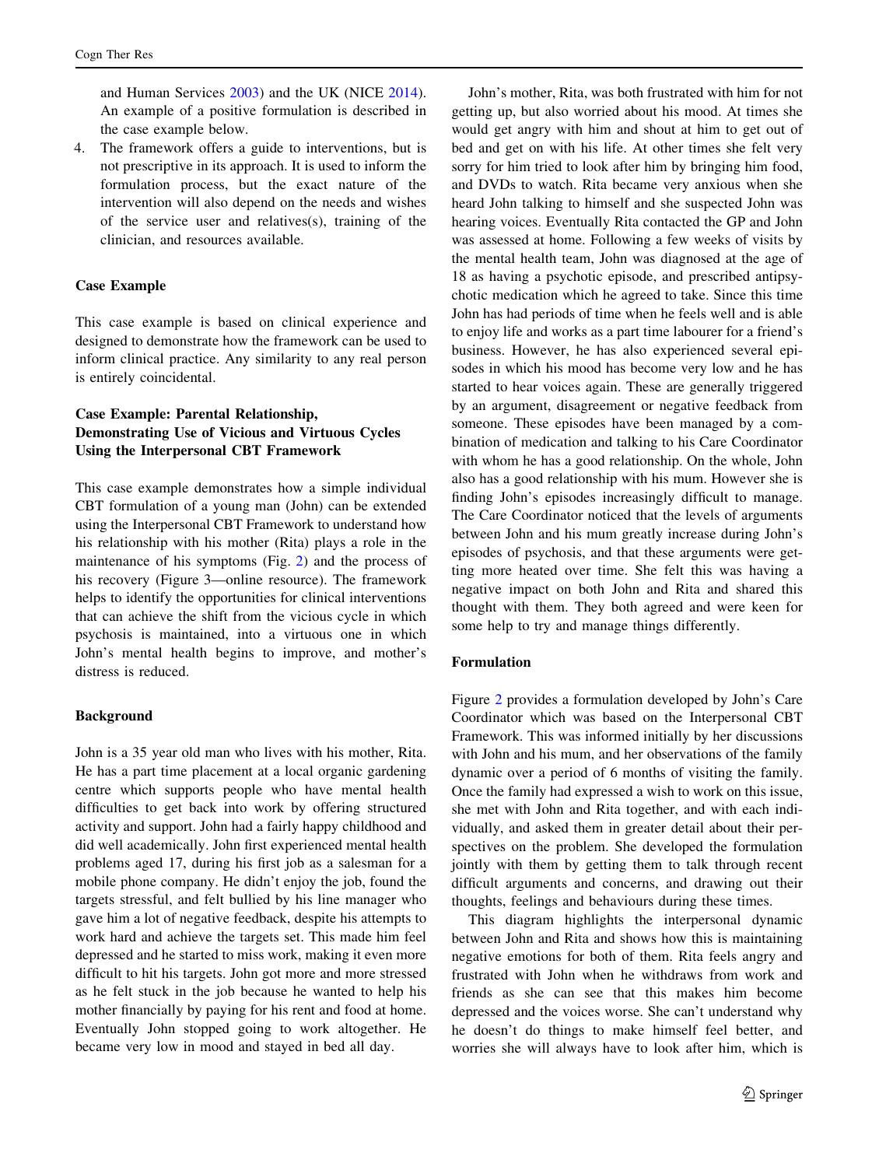and Human Services [2003\)](#page-14-0) and the UK (NICE [2014](#page-16-0)). An example of a positive formulation is described in the case example below.

4. The framework offers a guide to interventions, but is not prescriptive in its approach. It is used to inform the formulation process, but the exact nature of the intervention will also depend on the needs and wishes of the service user and relatives(s), training of the clinician, and resources available.

#### Case Example

This case example is based on clinical experience and designed to demonstrate how the framework can be used to inform clinical practice. Any similarity to any real person is entirely coincidental.

# Case Example: Parental Relationship, Demonstrating Use of Vicious and Virtuous Cycles Using the Interpersonal CBT Framework

This case example demonstrates how a simple individual CBT formulation of a young man (John) can be extended using the Interpersonal CBT Framework to understand how his relationship with his mother (Rita) plays a role in the maintenance of his symptoms (Fig. [2\)](#page-11-0) and the process of his recovery (Figure 3—online resource). The framework helps to identify the opportunities for clinical interventions that can achieve the shift from the vicious cycle in which psychosis is maintained, into a virtuous one in which John's mental health begins to improve, and mother's distress is reduced.

#### **Background**

John is a 35 year old man who lives with his mother, Rita. He has a part time placement at a local organic gardening centre which supports people who have mental health difficulties to get back into work by offering structured activity and support. John had a fairly happy childhood and did well academically. John first experienced mental health problems aged 17, during his first job as a salesman for a mobile phone company. He didn't enjoy the job, found the targets stressful, and felt bullied by his line manager who gave him a lot of negative feedback, despite his attempts to work hard and achieve the targets set. This made him feel depressed and he started to miss work, making it even more difficult to hit his targets. John got more and more stressed as he felt stuck in the job because he wanted to help his mother financially by paying for his rent and food at home. Eventually John stopped going to work altogether. He became very low in mood and stayed in bed all day.

John's mother, Rita, was both frustrated with him for not getting up, but also worried about his mood. At times she would get angry with him and shout at him to get out of bed and get on with his life. At other times she felt very sorry for him tried to look after him by bringing him food, and DVDs to watch. Rita became very anxious when she heard John talking to himself and she suspected John was hearing voices. Eventually Rita contacted the GP and John was assessed at home. Following a few weeks of visits by the mental health team, John was diagnosed at the age of 18 as having a psychotic episode, and prescribed antipsychotic medication which he agreed to take. Since this time John has had periods of time when he feels well and is able to enjoy life and works as a part time labourer for a friend's business. However, he has also experienced several episodes in which his mood has become very low and he has started to hear voices again. These are generally triggered by an argument, disagreement or negative feedback from someone. These episodes have been managed by a combination of medication and talking to his Care Coordinator with whom he has a good relationship. On the whole, John also has a good relationship with his mum. However she is finding John's episodes increasingly difficult to manage. The Care Coordinator noticed that the levels of arguments between John and his mum greatly increase during John's episodes of psychosis, and that these arguments were getting more heated over time. She felt this was having a negative impact on both John and Rita and shared this thought with them. They both agreed and were keen for some help to try and manage things differently.

#### Formulation

Figure [2](#page-11-0) provides a formulation developed by John's Care Coordinator which was based on the Interpersonal CBT Framework. This was informed initially by her discussions with John and his mum, and her observations of the family dynamic over a period of 6 months of visiting the family. Once the family had expressed a wish to work on this issue, she met with John and Rita together, and with each individually, and asked them in greater detail about their perspectives on the problem. She developed the formulation jointly with them by getting them to talk through recent difficult arguments and concerns, and drawing out their thoughts, feelings and behaviours during these times.

This diagram highlights the interpersonal dynamic between John and Rita and shows how this is maintaining negative emotions for both of them. Rita feels angry and frustrated with John when he withdraws from work and friends as she can see that this makes him become depressed and the voices worse. She can't understand why he doesn't do things to make himself feel better, and worries she will always have to look after him, which is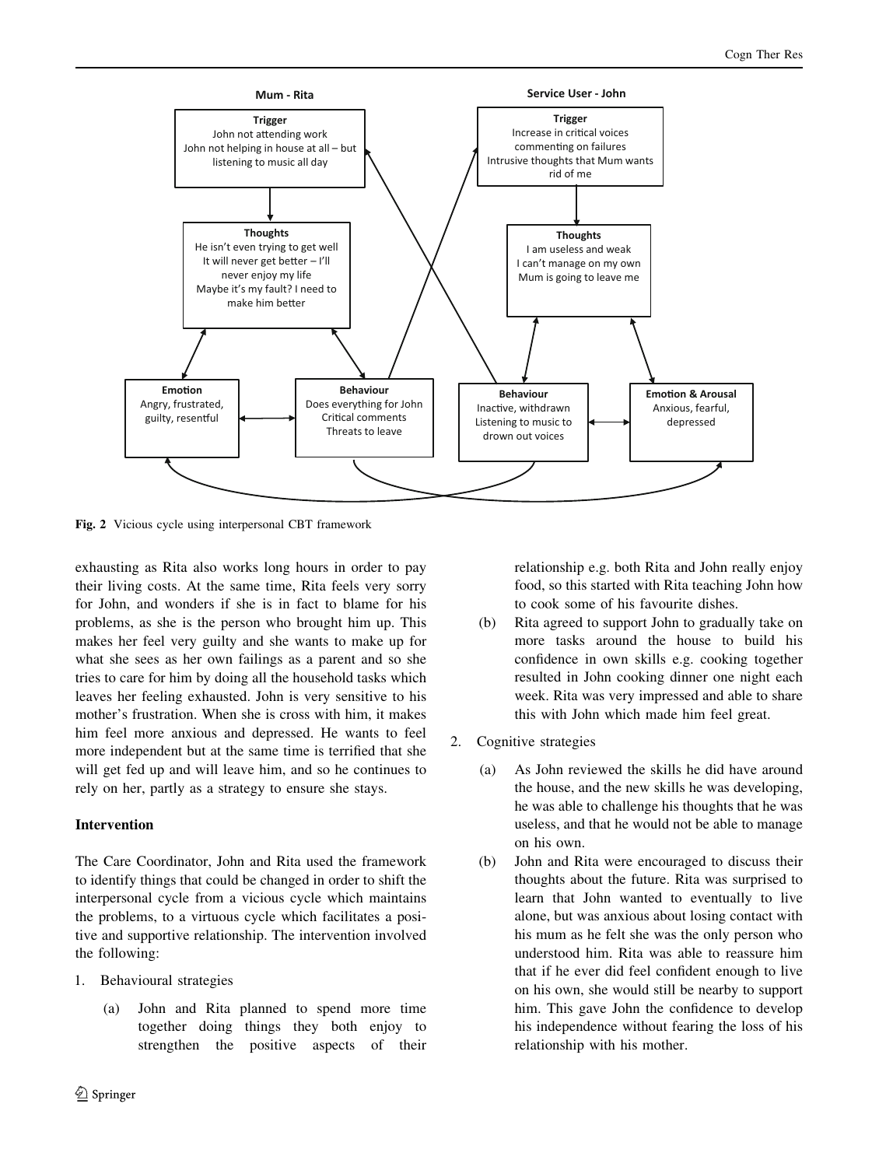<span id="page-11-0"></span>

Fig. 2 Vicious cycle using interpersonal CBT framework

exhausting as Rita also works long hours in order to pay their living costs. At the same time, Rita feels very sorry for John, and wonders if she is in fact to blame for his problems, as she is the person who brought him up. This makes her feel very guilty and she wants to make up for what she sees as her own failings as a parent and so she tries to care for him by doing all the household tasks which leaves her feeling exhausted. John is very sensitive to his mother's frustration. When she is cross with him, it makes him feel more anxious and depressed. He wants to feel more independent but at the same time is terrified that she will get fed up and will leave him, and so he continues to rely on her, partly as a strategy to ensure she stays.

# Intervention

The Care Coordinator, John and Rita used the framework to identify things that could be changed in order to shift the interpersonal cycle from a vicious cycle which maintains the problems, to a virtuous cycle which facilitates a positive and supportive relationship. The intervention involved the following:

- 1. Behavioural strategies
	- (a) John and Rita planned to spend more time together doing things they both enjoy to strengthen the positive aspects of their

relationship e.g. both Rita and John really enjoy food, so this started with Rita teaching John how to cook some of his favourite dishes.

- (b) Rita agreed to support John to gradually take on more tasks around the house to build his confidence in own skills e.g. cooking together resulted in John cooking dinner one night each week. Rita was very impressed and able to share this with John which made him feel great.
- 2. Cognitive strategies
	- (a) As John reviewed the skills he did have around the house, and the new skills he was developing, he was able to challenge his thoughts that he was useless, and that he would not be able to manage on his own.
	- (b) John and Rita were encouraged to discuss their thoughts about the future. Rita was surprised to learn that John wanted to eventually to live alone, but was anxious about losing contact with his mum as he felt she was the only person who understood him. Rita was able to reassure him that if he ever did feel confident enough to live on his own, she would still be nearby to support him. This gave John the confidence to develop his independence without fearing the loss of his relationship with his mother.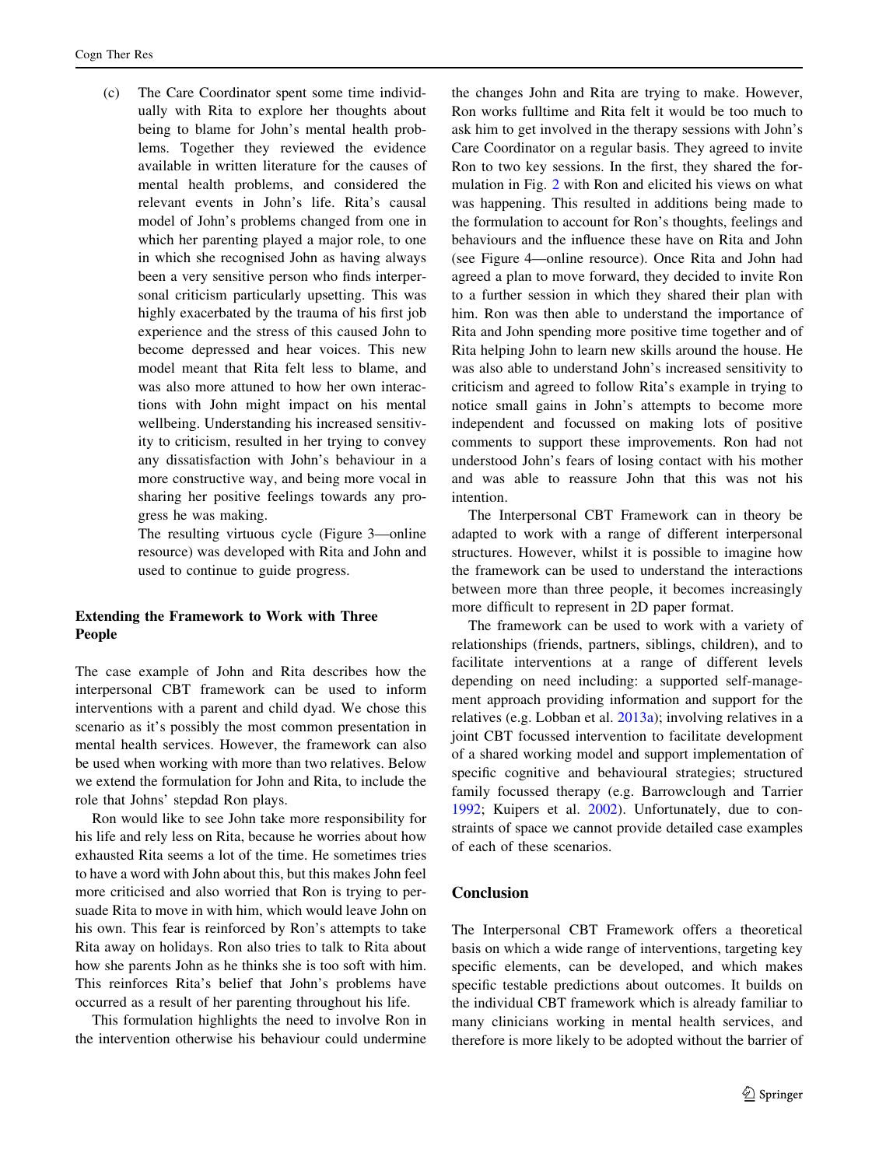(c) The Care Coordinator spent some time individually with Rita to explore her thoughts about being to blame for John's mental health problems. Together they reviewed the evidence available in written literature for the causes of mental health problems, and considered the relevant events in John's life. Rita's causal model of John's problems changed from one in which her parenting played a major role, to one in which she recognised John as having always been a very sensitive person who finds interpersonal criticism particularly upsetting. This was highly exacerbated by the trauma of his first job experience and the stress of this caused John to become depressed and hear voices. This new model meant that Rita felt less to blame, and was also more attuned to how her own interactions with John might impact on his mental wellbeing. Understanding his increased sensitivity to criticism, resulted in her trying to convey any dissatisfaction with John's behaviour in a more constructive way, and being more vocal in sharing her positive feelings towards any progress he was making.

> The resulting virtuous cycle (Figure 3—online resource) was developed with Rita and John and used to continue to guide progress.

#### Extending the Framework to Work with Three People

The case example of John and Rita describes how the interpersonal CBT framework can be used to inform interventions with a parent and child dyad. We chose this scenario as it's possibly the most common presentation in mental health services. However, the framework can also be used when working with more than two relatives. Below we extend the formulation for John and Rita, to include the role that Johns' stepdad Ron plays.

Ron would like to see John take more responsibility for his life and rely less on Rita, because he worries about how exhausted Rita seems a lot of the time. He sometimes tries to have a word with John about this, but this makes John feel more criticised and also worried that Ron is trying to persuade Rita to move in with him, which would leave John on his own. This fear is reinforced by Ron's attempts to take Rita away on holidays. Ron also tries to talk to Rita about how she parents John as he thinks she is too soft with him. This reinforces Rita's belief that John's problems have occurred as a result of her parenting throughout his life.

This formulation highlights the need to involve Ron in the intervention otherwise his behaviour could undermine the changes John and Rita are trying to make. However, Ron works fulltime and Rita felt it would be too much to ask him to get involved in the therapy sessions with John's Care Coordinator on a regular basis. They agreed to invite Ron to two key sessions. In the first, they shared the formulation in Fig. [2](#page-11-0) with Ron and elicited his views on what was happening. This resulted in additions being made to the formulation to account for Ron's thoughts, feelings and behaviours and the influence these have on Rita and John (see Figure 4—online resource). Once Rita and John had agreed a plan to move forward, they decided to invite Ron to a further session in which they shared their plan with him. Ron was then able to understand the importance of Rita and John spending more positive time together and of Rita helping John to learn new skills around the house. He was also able to understand John's increased sensitivity to criticism and agreed to follow Rita's example in trying to notice small gains in John's attempts to become more independent and focussed on making lots of positive comments to support these improvements. Ron had not understood John's fears of losing contact with his mother and was able to reassure John that this was not his intention.

The Interpersonal CBT Framework can in theory be adapted to work with a range of different interpersonal structures. However, whilst it is possible to imagine how the framework can be used to understand the interactions between more than three people, it becomes increasingly more difficult to represent in 2D paper format.

The framework can be used to work with a variety of relationships (friends, partners, siblings, children), and to facilitate interventions at a range of different levels depending on need including: a supported self-management approach providing information and support for the relatives (e.g. Lobban et al. [2013a](#page-16-0)); involving relatives in a joint CBT focussed intervention to facilitate development of a shared working model and support implementation of specific cognitive and behavioural strategies; structured family focussed therapy (e.g. Barrowclough and Tarrier [1992](#page-14-0); Kuipers et al. [2002\)](#page-15-0). Unfortunately, due to constraints of space we cannot provide detailed case examples of each of these scenarios.

### Conclusion

The Interpersonal CBT Framework offers a theoretical basis on which a wide range of interventions, targeting key specific elements, can be developed, and which makes specific testable predictions about outcomes. It builds on the individual CBT framework which is already familiar to many clinicians working in mental health services, and therefore is more likely to be adopted without the barrier of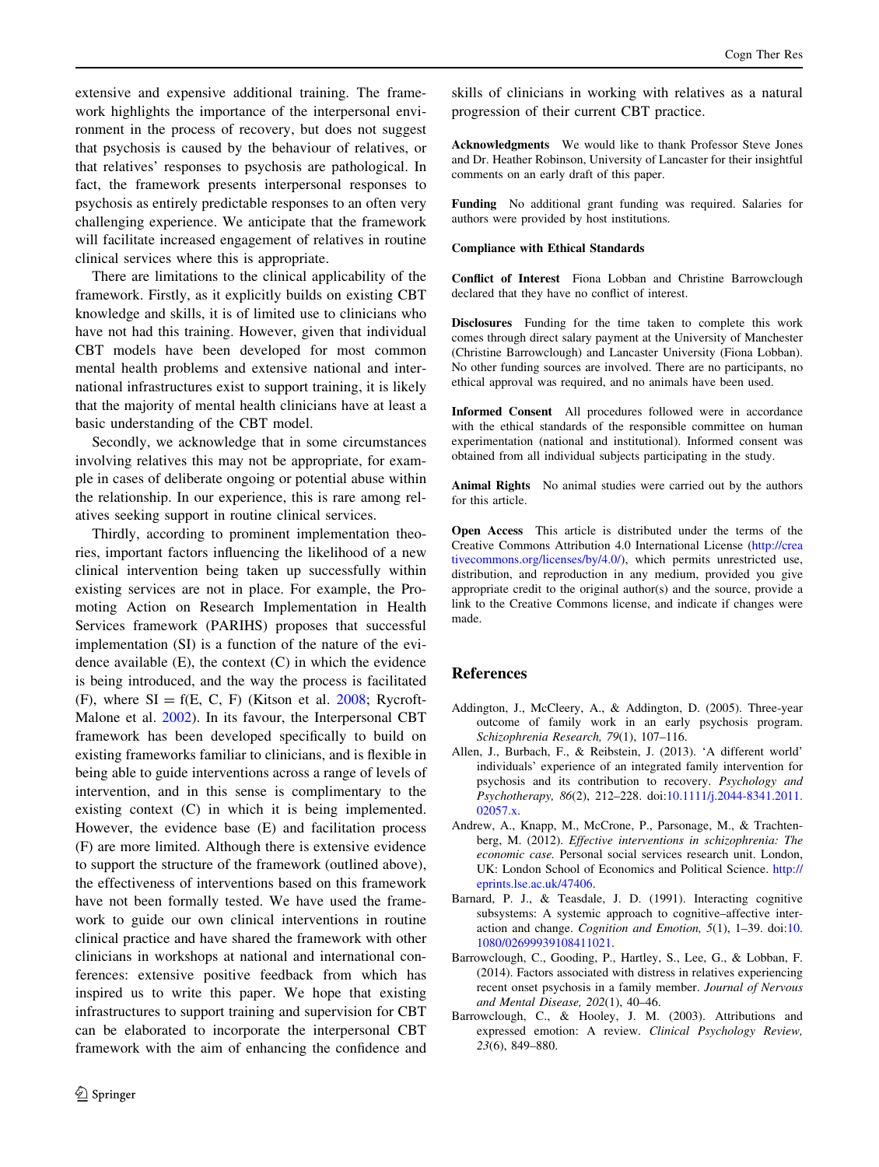<span id="page-13-0"></span>extensive and expensive additional training. The framework highlights the importance of the interpersonal environment in the process of recovery, but does not suggest that psychosis is caused by the behaviour of relatives, or that relatives' responses to psychosis are pathological. In fact, the framework presents interpersonal responses to psychosis as entirely predictable responses to an often very challenging experience. We anticipate that the framework will facilitate increased engagement of relatives in routine clinical services where this is appropriate.

There are limitations to the clinical applicability of the framework. Firstly, as it explicitly builds on existing CBT knowledge and skills, it is of limited use to clinicians who have not had this training. However, given that individual CBT models have been developed for most common mental health problems and extensive national and international infrastructures exist to support training, it is likely that the majority of mental health clinicians have at least a basic understanding of the CBT model.

Secondly, we acknowledge that in some circumstances involving relatives this may not be appropriate, for example in cases of deliberate ongoing or potential abuse within the relationship. In our experience, this is rare among relatives seeking support in routine clinical services.

Thirdly, according to prominent implementation theories, important factors influencing the likelihood of a new clinical intervention being taken up successfully within existing services are not in place. For example, the Promoting Action on Research Implementation in Health Services framework (PARIHS) proposes that successful implementation (SI) is a function of the nature of the evidence available  $(E)$ , the context  $(C)$  in which the evidence is being introduced, and the way the process is facilitated (F), where  $SI = f(E, C, F)$  (Kitson et al. [2008](#page-15-0); Rycroft-Malone et al. [2002\)](#page-16-0). In its favour, the Interpersonal CBT framework has been developed specifically to build on existing frameworks familiar to clinicians, and is flexible in being able to guide interventions across a range of levels of intervention, and in this sense is complimentary to the existing context (C) in which it is being implemented. However, the evidence base (E) and facilitation process (F) are more limited. Although there is extensive evidence to support the structure of the framework (outlined above), the effectiveness of interventions based on this framework have not been formally tested. We have used the framework to guide our own clinical interventions in routine clinical practice and have shared the framework with other clinicians in workshops at national and international conferences: extensive positive feedback from which has inspired us to write this paper. We hope that existing infrastructures to support training and supervision for CBT can be elaborated to incorporate the interpersonal CBT framework with the aim of enhancing the confidence and

skills of clinicians in working with relatives as a natural progression of their current CBT practice.

Acknowledgments We would like to thank Professor Steve Jones and Dr. Heather Robinson, University of Lancaster for their insightful comments on an early draft of this paper.

Funding No additional grant funding was required. Salaries for authors were provided by host institutions.

#### Compliance with Ethical Standards

Conflict of Interest Fiona Lobban and Christine Barrowclough declared that they have no conflict of interest.

Disclosures Funding for the time taken to complete this work comes through direct salary payment at the University of Manchester (Christine Barrowclough) and Lancaster University (Fiona Lobban). No other funding sources are involved. There are no participants, no ethical approval was required, and no animals have been used.

Informed Consent All procedures followed were in accordance with the ethical standards of the responsible committee on human experimentation (national and institutional). Informed consent was obtained from all individual subjects participating in the study.

Animal Rights No animal studies were carried out by the authors for this article.

Open Access This article is distributed under the terms of the Creative Commons Attribution 4.0 International License ([http://crea](http://creativecommons.org/licenses/by/4.0/) [tivecommons.org/licenses/by/4.0/\)](http://creativecommons.org/licenses/by/4.0/), which permits unrestricted use, distribution, and reproduction in any medium, provided you give appropriate credit to the original author(s) and the source, provide a link to the Creative Commons license, and indicate if changes were made.

#### References

- Addington, J., McCleery, A., & Addington, D. (2005). Three-year outcome of family work in an early psychosis program. Schizophrenia Research, 79(1), 107–116.
- Allen, J., Burbach, F., & Reibstein, J. (2013). 'A different world' individuals' experience of an integrated family intervention for psychosis and its contribution to recovery. Psychology and Psychotherapy, 86(2), 212–228. doi:[10.1111/j.2044-8341.2011.](http://dx.doi.org/10.1111/j.2044-8341.2011.02057.x) [02057.x.](http://dx.doi.org/10.1111/j.2044-8341.2011.02057.x)
- Andrew, A., Knapp, M., McCrone, P., Parsonage, M., & Trachtenberg, M. (2012). Effective interventions in schizophrenia: The economic case. Personal social services research unit. London, UK: London School of Economics and Political Science. [http://](http://eprints.lse.ac.uk/47406) [eprints.lse.ac.uk/47406.](http://eprints.lse.ac.uk/47406)
- Barnard, P. J., & Teasdale, J. D. (1991). Interacting cognitive subsystems: A systemic approach to cognitive–affective interaction and change. Cognition and Emotion,  $5(1)$ ,  $1-39$ . doi: $10$ . [1080/02699939108411021](http://dx.doi.org/10.1080/02699939108411021).
- Barrowclough, C., Gooding, P., Hartley, S., Lee, G., & Lobban, F. (2014). Factors associated with distress in relatives experiencing recent onset psychosis in a family member. Journal of Nervous and Mental Disease, 202(1), 40–46.
- Barrowclough, C., & Hooley, J. M. (2003). Attributions and expressed emotion: A review. Clinical Psychology Review, 23(6), 849–880.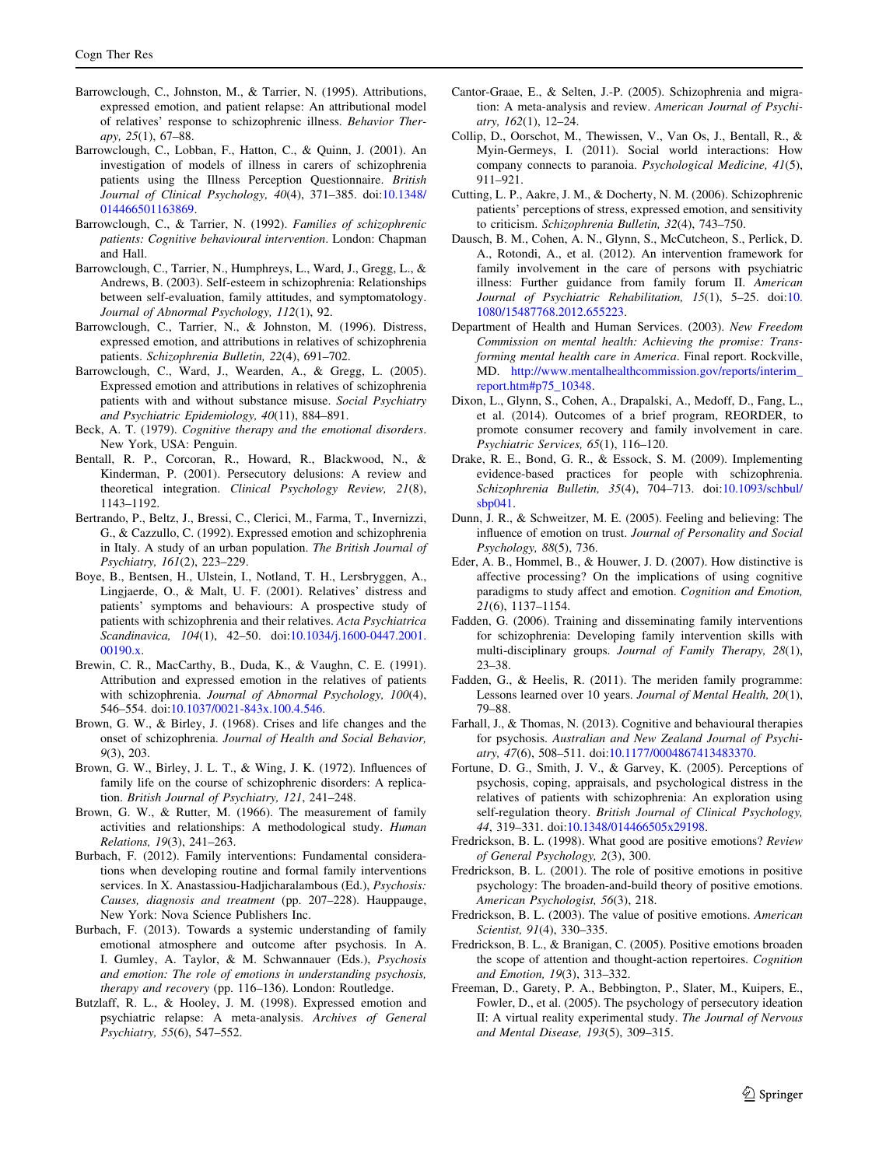- <span id="page-14-0"></span>Barrowclough, C., Johnston, M., & Tarrier, N. (1995). Attributions, expressed emotion, and patient relapse: An attributional model of relatives' response to schizophrenic illness. Behavior Therapy, 25(1), 67–88.
- Barrowclough, C., Lobban, F., Hatton, C., & Quinn, J. (2001). An investigation of models of illness in carers of schizophrenia patients using the Illness Perception Questionnaire. British Journal of Clinical Psychology, 40(4), 371–385. doi[:10.1348/](http://dx.doi.org/10.1348/014466501163869) [014466501163869.](http://dx.doi.org/10.1348/014466501163869)
- Barrowclough, C., & Tarrier, N. (1992). Families of schizophrenic patients: Cognitive behavioural intervention. London: Chapman and Hall.
- Barrowclough, C., Tarrier, N., Humphreys, L., Ward, J., Gregg, L., & Andrews, B. (2003). Self-esteem in schizophrenia: Relationships between self-evaluation, family attitudes, and symptomatology. Journal of Abnormal Psychology, 112(1), 92.
- Barrowclough, C., Tarrier, N., & Johnston, M. (1996). Distress, expressed emotion, and attributions in relatives of schizophrenia patients. Schizophrenia Bulletin, 22(4), 691–702.
- Barrowclough, C., Ward, J., Wearden, A., & Gregg, L. (2005). Expressed emotion and attributions in relatives of schizophrenia patients with and without substance misuse. Social Psychiatry and Psychiatric Epidemiology, 40(11), 884–891.
- Beck, A. T. (1979). Cognitive therapy and the emotional disorders. New York, USA: Penguin.
- Bentall, R. P., Corcoran, R., Howard, R., Blackwood, N., & Kinderman, P. (2001). Persecutory delusions: A review and theoretical integration. Clinical Psychology Review, 21(8), 1143–1192.
- Bertrando, P., Beltz, J., Bressi, C., Clerici, M., Farma, T., Invernizzi, G., & Cazzullo, C. (1992). Expressed emotion and schizophrenia in Italy. A study of an urban population. The British Journal of Psychiatry, 161(2), 223–229.
- Boye, B., Bentsen, H., Ulstein, I., Notland, T. H., Lersbryggen, A., Lingjaerde, O., & Malt, U. F. (2001). Relatives' distress and patients' symptoms and behaviours: A prospective study of patients with schizophrenia and their relatives. Acta Psychiatrica Scandinavica, 104(1), 42–50. doi:[10.1034/j.1600-0447.2001.](http://dx.doi.org/10.1034/j.1600-0447.2001.00190.x) [00190.x.](http://dx.doi.org/10.1034/j.1600-0447.2001.00190.x)
- Brewin, C. R., MacCarthy, B., Duda, K., & Vaughn, C. E. (1991). Attribution and expressed emotion in the relatives of patients with schizophrenia. Journal of Abnormal Psychology, 100(4), 546–554. doi:[10.1037/0021-843x.100.4.546](http://dx.doi.org/10.1037/0021-843x.100.4.546).
- Brown, G. W., & Birley, J. (1968). Crises and life changes and the onset of schizophrenia. Journal of Health and Social Behavior, 9(3), 203.
- Brown, G. W., Birley, J. L. T., & Wing, J. K. (1972). Influences of family life on the course of schizophrenic disorders: A replication. British Journal of Psychiatry, 121, 241–248.
- Brown, G. W., & Rutter, M. (1966). The measurement of family activities and relationships: A methodological study. Human Relations, 19(3), 241–263.
- Burbach, F. (2012). Family interventions: Fundamental considerations when developing routine and formal family interventions services. In X. Anastassiou-Hadjicharalambous (Ed.), Psychosis: Causes, diagnosis and treatment (pp. 207–228). Hauppauge, New York: Nova Science Publishers Inc.
- Burbach, F. (2013). Towards a systemic understanding of family emotional atmosphere and outcome after psychosis. In A. I. Gumley, A. Taylor, & M. Schwannauer (Eds.), Psychosis and emotion: The role of emotions in understanding psychosis, therapy and recovery (pp. 116–136). London: Routledge.
- Butzlaff, R. L., & Hooley, J. M. (1998). Expressed emotion and psychiatric relapse: A meta-analysis. Archives of General Psychiatry, 55(6), 547–552.
- Cantor-Graae, E., & Selten, J.-P. (2005). Schizophrenia and migration: A meta-analysis and review. American Journal of Psychiatry, 162(1), 12–24.
- Collip, D., Oorschot, M., Thewissen, V., Van Os, J., Bentall, R., & Myin-Germeys, I. (2011). Social world interactions: How company connects to paranoia. Psychological Medicine, 41(5), 911–921.
- Cutting, L. P., Aakre, J. M., & Docherty, N. M. (2006). Schizophrenic patients' perceptions of stress, expressed emotion, and sensitivity to criticism. Schizophrenia Bulletin, 32(4), 743–750.
- Dausch, B. M., Cohen, A. N., Glynn, S., McCutcheon, S., Perlick, D. A., Rotondi, A., et al. (2012). An intervention framework for family involvement in the care of persons with psychiatric illness: Further guidance from family forum II. American Journal of Psychiatric Rehabilitation, 15(1), 5-25. doi:[10.](http://dx.doi.org/10.1080/15487768.2012.655223) [1080/15487768.2012.655223.](http://dx.doi.org/10.1080/15487768.2012.655223)
- Department of Health and Human Services. (2003). New Freedom Commission on mental health: Achieving the promise: Transforming mental health care in America. Final report. Rockville, MD. [http://www.mentalhealthcommission.gov/reports/interim\\_](http://www.mentalhealthcommission.gov/reports/interim_report.htm#p75_10348) [report.htm#p75\\_10348](http://www.mentalhealthcommission.gov/reports/interim_report.htm#p75_10348).
- Dixon, L., Glynn, S., Cohen, A., Drapalski, A., Medoff, D., Fang, L., et al. (2014). Outcomes of a brief program, REORDER, to promote consumer recovery and family involvement in care. Psychiatric Services, 65(1), 116–120.
- Drake, R. E., Bond, G. R., & Essock, S. M. (2009). Implementing evidence-based practices for people with schizophrenia. Schizophrenia Bulletin, 35(4), 704–713. doi:[10.1093/schbul/](http://dx.doi.org/10.1093/schbul/sbp041) [sbp041.](http://dx.doi.org/10.1093/schbul/sbp041)
- Dunn, J. R., & Schweitzer, M. E. (2005). Feeling and believing: The influence of emotion on trust. Journal of Personality and Social Psychology, 88(5), 736.
- Eder, A. B., Hommel, B., & Houwer, J. D. (2007). How distinctive is affective processing? On the implications of using cognitive paradigms to study affect and emotion. Cognition and Emotion, 21(6), 1137–1154.
- Fadden, G. (2006). Training and disseminating family interventions for schizophrenia: Developing family intervention skills with multi-disciplinary groups. Journal of Family Therapy, 28(1), 23–38.
- Fadden, G., & Heelis, R. (2011). The meriden family programme: Lessons learned over 10 years. Journal of Mental Health, 20(1), 79–88.
- Farhall, J., & Thomas, N. (2013). Cognitive and behavioural therapies for psychosis. Australian and New Zealand Journal of Psychiatry, 47(6), 508–511. doi:[10.1177/0004867413483370.](http://dx.doi.org/10.1177/0004867413483370)
- Fortune, D. G., Smith, J. V., & Garvey, K. (2005). Perceptions of psychosis, coping, appraisals, and psychological distress in the relatives of patients with schizophrenia: An exploration using self-regulation theory. British Journal of Clinical Psychology, 44, 319–331. doi[:10.1348/014466505x29198.](http://dx.doi.org/10.1348/014466505x29198)
- Fredrickson, B. L. (1998). What good are positive emotions? Review of General Psychology, 2(3), 300.
- Fredrickson, B. L. (2001). The role of positive emotions in positive psychology: The broaden-and-build theory of positive emotions. American Psychologist, 56(3), 218.
- Fredrickson, B. L. (2003). The value of positive emotions. American Scientist, 91(4), 330–335.
- Fredrickson, B. L., & Branigan, C. (2005). Positive emotions broaden the scope of attention and thought-action repertoires. Cognition and Emotion, 19(3), 313–332.
- Freeman, D., Garety, P. A., Bebbington, P., Slater, M., Kuipers, E., Fowler, D., et al. (2005). The psychology of persecutory ideation II: A virtual reality experimental study. The Journal of Nervous and Mental Disease, 193(5), 309–315.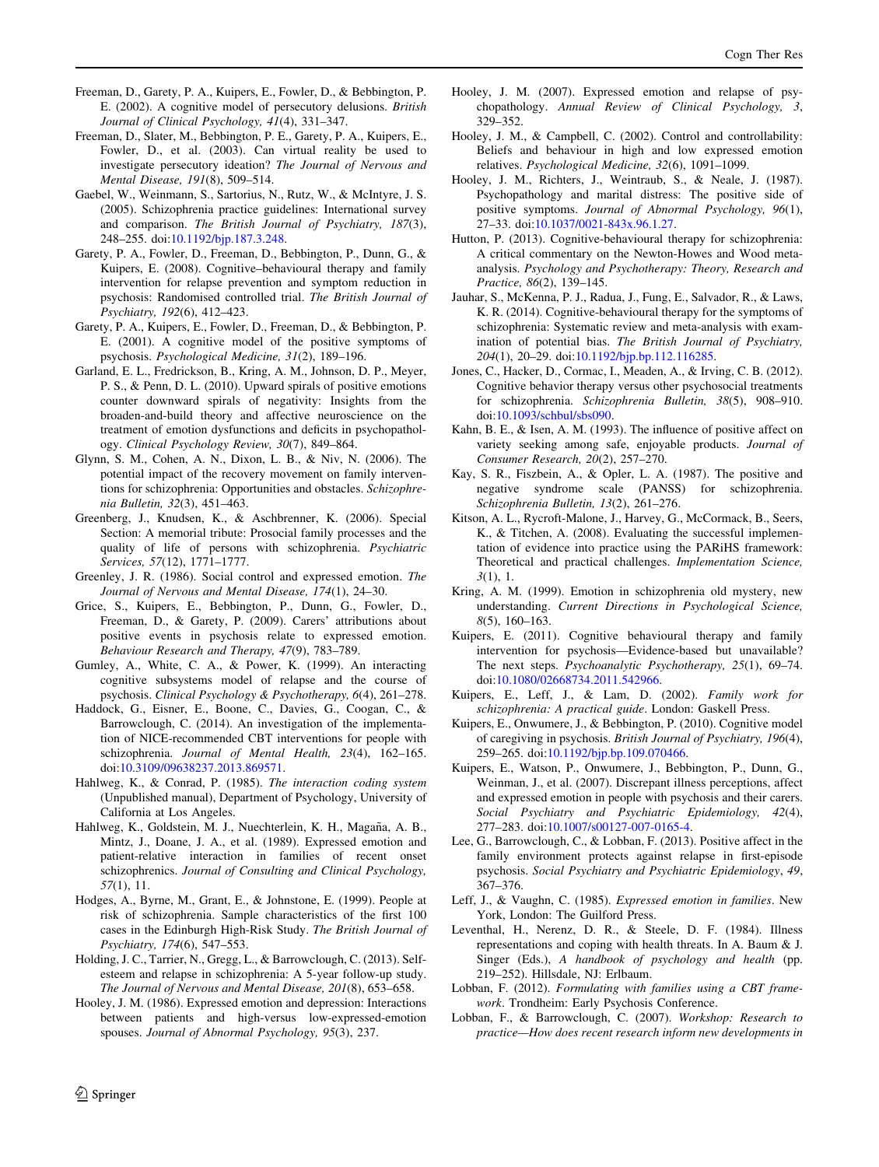- <span id="page-15-0"></span>Freeman, D., Garety, P. A., Kuipers, E., Fowler, D., & Bebbington, P. E. (2002). A cognitive model of persecutory delusions. British Journal of Clinical Psychology, 41(4), 331–347.
- Freeman, D., Slater, M., Bebbington, P. E., Garety, P. A., Kuipers, E., Fowler, D., et al. (2003). Can virtual reality be used to investigate persecutory ideation? The Journal of Nervous and Mental Disease, 191(8), 509–514.
- Gaebel, W., Weinmann, S., Sartorius, N., Rutz, W., & McIntyre, J. S. (2005). Schizophrenia practice guidelines: International survey and comparison. The British Journal of Psychiatry, 187(3), 248–255. doi:[10.1192/bjp.187.3.248.](http://dx.doi.org/10.1192/bjp.187.3.248)
- Garety, P. A., Fowler, D., Freeman, D., Bebbington, P., Dunn, G., & Kuipers, E. (2008). Cognitive–behavioural therapy and family intervention for relapse prevention and symptom reduction in psychosis: Randomised controlled trial. The British Journal of Psychiatry, 192(6), 412–423.
- Garety, P. A., Kuipers, E., Fowler, D., Freeman, D., & Bebbington, P. E. (2001). A cognitive model of the positive symptoms of psychosis. Psychological Medicine, 31(2), 189–196.
- Garland, E. L., Fredrickson, B., Kring, A. M., Johnson, D. P., Meyer, P. S., & Penn, D. L. (2010). Upward spirals of positive emotions counter downward spirals of negativity: Insights from the broaden-and-build theory and affective neuroscience on the treatment of emotion dysfunctions and deficits in psychopathology. Clinical Psychology Review, 30(7), 849–864.
- Glynn, S. M., Cohen, A. N., Dixon, L. B., & Niv, N. (2006). The potential impact of the recovery movement on family interventions for schizophrenia: Opportunities and obstacles. Schizophrenia Bulletin, 32(3), 451–463.
- Greenberg, J., Knudsen, K., & Aschbrenner, K. (2006). Special Section: A memorial tribute: Prosocial family processes and the quality of life of persons with schizophrenia. Psychiatric Services, 57(12), 1771–1777.
- Greenley, J. R. (1986). Social control and expressed emotion. The Journal of Nervous and Mental Disease, 174(1), 24–30.
- Grice, S., Kuipers, E., Bebbington, P., Dunn, G., Fowler, D., Freeman, D., & Garety, P. (2009). Carers' attributions about positive events in psychosis relate to expressed emotion. Behaviour Research and Therapy, 47(9), 783–789.
- Gumley, A., White, C. A., & Power, K. (1999). An interacting cognitive subsystems model of relapse and the course of psychosis. Clinical Psychology & Psychotherapy, 6(4), 261–278.
- Haddock, G., Eisner, E., Boone, C., Davies, G., Coogan, C., & Barrowclough, C. (2014). An investigation of the implementation of NICE-recommended CBT interventions for people with schizophrenia. Journal of Mental Health, 23(4), 162–165. doi[:10.3109/09638237.2013.869571.](http://dx.doi.org/10.3109/09638237.2013.869571)
- Hahlweg, K., & Conrad, P. (1985). The interaction coding system (Unpublished manual), Department of Psychology, University of California at Los Angeles.
- Hahlweg, K., Goldstein, M. J., Nuechterlein, K. H., Magaña, A. B., Mintz, J., Doane, J. A., et al. (1989). Expressed emotion and patient-relative interaction in families of recent onset schizophrenics. Journal of Consulting and Clinical Psychology, 57(1), 11.
- Hodges, A., Byrne, M., Grant, E., & Johnstone, E. (1999). People at risk of schizophrenia. Sample characteristics of the first 100 cases in the Edinburgh High-Risk Study. The British Journal of Psychiatry, 174(6), 547–553.
- Holding, J. C., Tarrier, N., Gregg, L., & Barrowclough, C. (2013). Selfesteem and relapse in schizophrenia: A 5-year follow-up study. The Journal of Nervous and Mental Disease, 201(8), 653–658.
- Hooley, J. M. (1986). Expressed emotion and depression: Interactions between patients and high-versus low-expressed-emotion spouses. Journal of Abnormal Psychology, 95(3), 237.
- Hooley, J. M. (2007). Expressed emotion and relapse of psychopathology. Annual Review of Clinical Psychology, 3, 329–352.
- Hooley, J. M., & Campbell, C. (2002). Control and controllability: Beliefs and behaviour in high and low expressed emotion relatives. Psychological Medicine, 32(6), 1091–1099.
- Hooley, J. M., Richters, J., Weintraub, S., & Neale, J. (1987). Psychopathology and marital distress: The positive side of positive symptoms. Journal of Abnormal Psychology, 96(1), 27–33. doi[:10.1037/0021-843x.96.1.27.](http://dx.doi.org/10.1037/0021-843x.96.1.27)
- Hutton, P. (2013). Cognitive-behavioural therapy for schizophrenia: A critical commentary on the Newton-Howes and Wood metaanalysis. Psychology and Psychotherapy: Theory, Research and Practice, 86(2), 139–145.
- Jauhar, S., McKenna, P. J., Radua, J., Fung, E., Salvador, R., & Laws, K. R. (2014). Cognitive-behavioural therapy for the symptoms of schizophrenia: Systematic review and meta-analysis with examination of potential bias. The British Journal of Psychiatry, 204(1), 20–29. doi[:10.1192/bjp.bp.112.116285.](http://dx.doi.org/10.1192/bjp.bp.112.116285)
- Jones, C., Hacker, D., Cormac, I., Meaden, A., & Irving, C. B. (2012). Cognitive behavior therapy versus other psychosocial treatments for schizophrenia. Schizophrenia Bulletin, 38(5), 908–910. doi[:10.1093/schbul/sbs090](http://dx.doi.org/10.1093/schbul/sbs090).
- Kahn, B. E., & Isen, A. M. (1993). The influence of positive affect on variety seeking among safe, enjoyable products. Journal of Consumer Research, 20(2), 257–270.
- Kay, S. R., Fiszbein, A., & Opler, L. A. (1987). The positive and negative syndrome scale (PANSS) for schizophrenia. Schizophrenia Bulletin, 13(2), 261–276.
- Kitson, A. L., Rycroft-Malone, J., Harvey, G., McCormack, B., Seers, K., & Titchen, A. (2008). Evaluating the successful implementation of evidence into practice using the PARiHS framework: Theoretical and practical challenges. Implementation Science, 3(1), 1.
- Kring, A. M. (1999). Emotion in schizophrenia old mystery, new understanding. Current Directions in Psychological Science, 8(5), 160–163.
- Kuipers, E. (2011). Cognitive behavioural therapy and family intervention for psychosis—Evidence-based but unavailable? The next steps. Psychoanalytic Psychotherapy, 25(1), 69–74. doi[:10.1080/02668734.2011.542966.](http://dx.doi.org/10.1080/02668734.2011.542966)
- Kuipers, E., Leff, J., & Lam, D. (2002). Family work for schizophrenia: A practical guide. London: Gaskell Press.
- Kuipers, E., Onwumere, J., & Bebbington, P. (2010). Cognitive model of caregiving in psychosis. British Journal of Psychiatry, 196(4), 259–265. doi:[10.1192/bjp.bp.109.070466.](http://dx.doi.org/10.1192/bjp.bp.109.070466)
- Kuipers, E., Watson, P., Onwumere, J., Bebbington, P., Dunn, G., Weinman, J., et al. (2007). Discrepant illness perceptions, affect and expressed emotion in people with psychosis and their carers. Social Psychiatry and Psychiatric Epidemiology, 42(4), 277–283. doi:[10.1007/s00127-007-0165-4.](http://dx.doi.org/10.1007/s00127-007-0165-4)
- Lee, G., Barrowclough, C., & Lobban, F. (2013). Positive affect in the family environment protects against relapse in first-episode psychosis. Social Psychiatry and Psychiatric Epidemiology, 49, 367–376.
- Leff, J., & Vaughn, C. (1985). Expressed emotion in families. New York, London: The Guilford Press.
- Leventhal, H., Nerenz, D. R., & Steele, D. F. (1984). Illness representations and coping with health threats. In A. Baum & J. Singer (Eds.), A handbook of psychology and health (pp. 219–252). Hillsdale, NJ: Erlbaum.
- Lobban, F. (2012). Formulating with families using a CBT framework. Trondheim: Early Psychosis Conference.
- Lobban, F., & Barrowclough, C. (2007). Workshop: Research to practice—How does recent research inform new developments in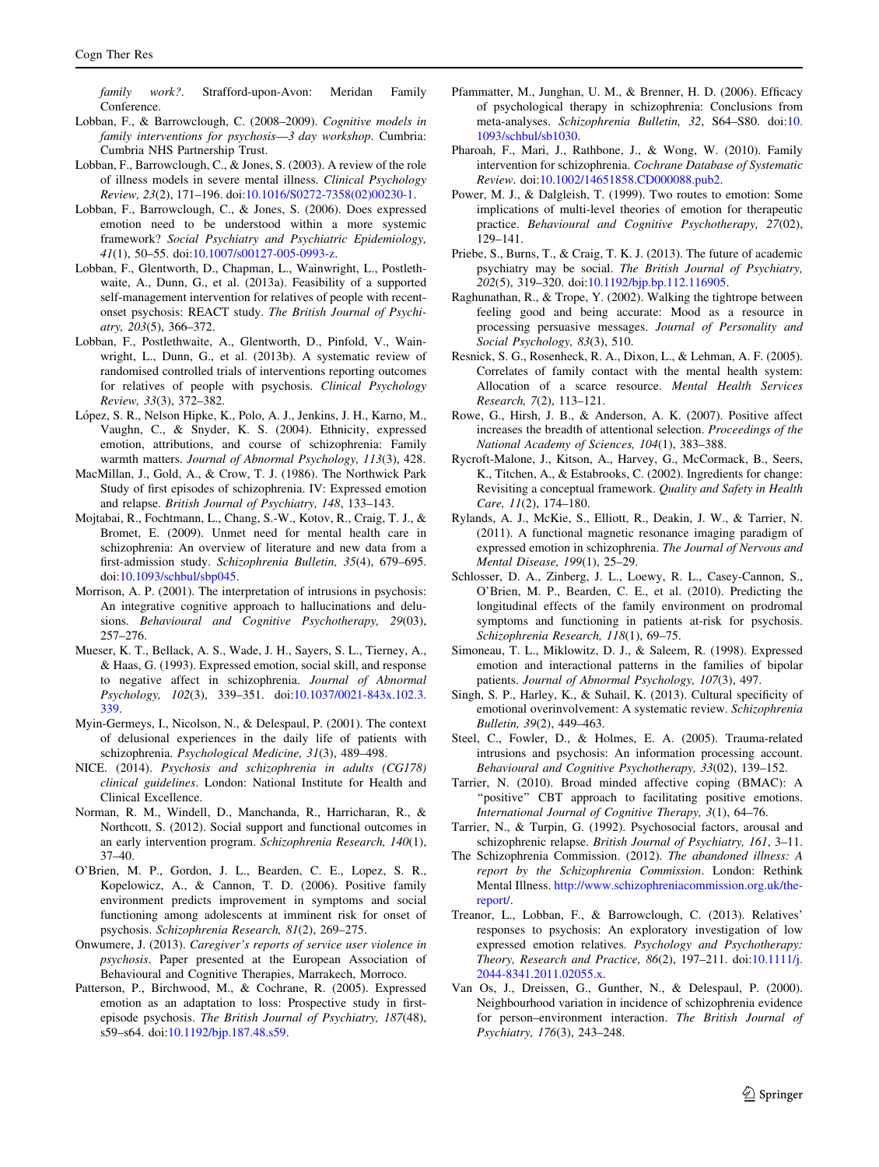<span id="page-16-0"></span>family work?. Strafford-upon-Avon: Meridan Family **Conference** 

- Lobban, F., & Barrowclough, C. (2008–2009). Cognitive models in family interventions for psychosis—3 day workshop. Cumbria: Cumbria NHS Partnership Trust.
- Lobban, F., Barrowclough, C., & Jones, S. (2003). A review of the role of illness models in severe mental illness. Clinical Psychology Review, 23(2), 171–196. doi:[10.1016/S0272-7358\(02\)00230-1](http://dx.doi.org/10.1016/S0272-7358(02)00230-1).
- Lobban, F., Barrowclough, C., & Jones, S. (2006). Does expressed emotion need to be understood within a more systemic framework? Social Psychiatry and Psychiatric Epidemiology, 41(1), 50–55. doi:[10.1007/s00127-005-0993-z.](http://dx.doi.org/10.1007/s00127-005-0993-z)
- Lobban, F., Glentworth, D., Chapman, L., Wainwright, L., Postlethwaite, A., Dunn, G., et al. (2013a). Feasibility of a supported self-management intervention for relatives of people with recentonset psychosis: REACT study. The British Journal of Psychiatry, 203(5), 366–372.
- Lobban, F., Postlethwaite, A., Glentworth, D., Pinfold, V., Wainwright, L., Dunn, G., et al. (2013b). A systematic review of randomised controlled trials of interventions reporting outcomes for relatives of people with psychosis. Clinical Psychology Review, 33(3), 372–382.
- López, S. R., Nelson Hipke, K., Polo, A. J., Jenkins, J. H., Karno, M., Vaughn, C., & Snyder, K. S. (2004). Ethnicity, expressed emotion, attributions, and course of schizophrenia: Family warmth matters. Journal of Abnormal Psychology, 113(3), 428.
- MacMillan, J., Gold, A., & Crow, T. J. (1986). The Northwick Park Study of first episodes of schizophrenia. IV: Expressed emotion and relapse. British Journal of Psychiatry, 148, 133–143.
- Mojtabai, R., Fochtmann, L., Chang, S.-W., Kotov, R., Craig, T. J., & Bromet, E. (2009). Unmet need for mental health care in schizophrenia: An overview of literature and new data from a first-admission study. Schizophrenia Bulletin, 35(4), 679–695. doi[:10.1093/schbul/sbp045](http://dx.doi.org/10.1093/schbul/sbp045).
- Morrison, A. P. (2001). The interpretation of intrusions in psychosis: An integrative cognitive approach to hallucinations and delusions. Behavioural and Cognitive Psychotherapy, 29(03), 257–276.
- Mueser, K. T., Bellack, A. S., Wade, J. H., Sayers, S. L., Tierney, A., & Haas, G. (1993). Expressed emotion, social skill, and response to negative affect in schizophrenia. Journal of Abnormal Psychology, 102(3), 339–351. doi[:10.1037/0021-843x.102.3.](http://dx.doi.org/10.1037/0021-843x.102.3.339) [339.](http://dx.doi.org/10.1037/0021-843x.102.3.339)
- Myin-Germeys, I., Nicolson, N., & Delespaul, P. (2001). The context of delusional experiences in the daily life of patients with schizophrenia. Psychological Medicine, 31(3), 489–498.
- NICE. (2014). Psychosis and schizophrenia in adults (CG178) clinical guidelines. London: National Institute for Health and Clinical Excellence.
- Norman, R. M., Windell, D., Manchanda, R., Harricharan, R., & Northcott, S. (2012). Social support and functional outcomes in an early intervention program. Schizophrenia Research, 140(1), 37–40.
- O'Brien, M. P., Gordon, J. L., Bearden, C. E., Lopez, S. R., Kopelowicz, A., & Cannon, T. D. (2006). Positive family environment predicts improvement in symptoms and social functioning among adolescents at imminent risk for onset of psychosis. Schizophrenia Research, 81(2), 269–275.
- Onwumere, J. (2013). Caregiver's reports of service user violence in psychosis. Paper presented at the European Association of Behavioural and Cognitive Therapies, Marrakech, Morroco.
- Patterson, P., Birchwood, M., & Cochrane, R. (2005). Expressed emotion as an adaptation to loss: Prospective study in firstepisode psychosis. The British Journal of Psychiatry, 187(48), s59–s64. doi:[10.1192/bjp.187.48.s59.](http://dx.doi.org/10.1192/bjp.187.48.s59)
- Pfammatter, M., Junghan, U. M., & Brenner, H. D. (2006). Efficacy of psychological therapy in schizophrenia: Conclusions from meta-analyses. Schizophrenia Bulletin, 32, S64–S80. doi:[10.](http://dx.doi.org/10.1093/schbul/sb1030) [1093/schbul/sb1030](http://dx.doi.org/10.1093/schbul/sb1030).
- Pharoah, F., Mari, J., Rathbone, J., & Wong, W. (2010). Family intervention for schizophrenia. Cochrane Database of Systematic Review. doi:[10.1002/14651858.CD000088.pub2](http://dx.doi.org/10.1002/14651858.CD000088.pub2).
- Power, M. J., & Dalgleish, T. (1999). Two routes to emotion: Some implications of multi-level theories of emotion for therapeutic practice. Behavioural and Cognitive Psychotherapy, 27(02), 129–141.
- Priebe, S., Burns, T., & Craig, T. K. J. (2013). The future of academic psychiatry may be social. The British Journal of Psychiatry, 202(5), 319–320. doi[:10.1192/bjp.bp.112.116905](http://dx.doi.org/10.1192/bjp.bp.112.116905).
- Raghunathan, R., & Trope, Y. (2002). Walking the tightrope between feeling good and being accurate: Mood as a resource in processing persuasive messages. Journal of Personality and Social Psychology, 83(3), 510.
- Resnick, S. G., Rosenheck, R. A., Dixon, L., & Lehman, A. F. (2005). Correlates of family contact with the mental health system: Allocation of a scarce resource. Mental Health Services Research, 7(2), 113–121.
- Rowe, G., Hirsh, J. B., & Anderson, A. K. (2007). Positive affect increases the breadth of attentional selection. Proceedings of the National Academy of Sciences, 104(1), 383–388.
- Rycroft-Malone, J., Kitson, A., Harvey, G., McCormack, B., Seers, K., Titchen, A., & Estabrooks, C. (2002). Ingredients for change: Revisiting a conceptual framework. Quality and Safety in Health Care, 11(2), 174–180.
- Rylands, A. J., McKie, S., Elliott, R., Deakin, J. W., & Tarrier, N. (2011). A functional magnetic resonance imaging paradigm of expressed emotion in schizophrenia. The Journal of Nervous and Mental Disease, 199(1), 25–29.
- Schlosser, D. A., Zinberg, J. L., Loewy, R. L., Casey-Cannon, S., O'Brien, M. P., Bearden, C. E., et al. (2010). Predicting the longitudinal effects of the family environment on prodromal symptoms and functioning in patients at-risk for psychosis. Schizophrenia Research, 118(1), 69–75.
- Simoneau, T. L., Miklowitz, D. J., & Saleem, R. (1998). Expressed emotion and interactional patterns in the families of bipolar patients. Journal of Abnormal Psychology, 107(3), 497.
- Singh, S. P., Harley, K., & Suhail, K. (2013). Cultural specificity of emotional overinvolvement: A systematic review. Schizophrenia Bulletin, 39(2), 449–463.
- Steel, C., Fowler, D., & Holmes, E. A. (2005). Trauma-related intrusions and psychosis: An information processing account. Behavioural and Cognitive Psychotherapy, 33(02), 139–152.
- Tarrier, N. (2010). Broad minded affective coping (BMAC): A "positive" CBT approach to facilitating positive emotions. International Journal of Cognitive Therapy, 3(1), 64–76.
- Tarrier, N., & Turpin, G. (1992). Psychosocial factors, arousal and schizophrenic relapse. British Journal of Psychiatry, 161, 3–11.
- The Schizophrenia Commission. (2012). The abandoned illness: A report by the Schizophrenia Commission. London: Rethink Mental Illness. [http://www.schizophreniacommission.org.uk/the](http://www.schizophreniacommission.org.uk/the-report/)[report/.](http://www.schizophreniacommission.org.uk/the-report/)
- Treanor, L., Lobban, F., & Barrowclough, C. (2013). Relatives' responses to psychosis: An exploratory investigation of low expressed emotion relatives. Psychology and Psychotherapy: Theory, Research and Practice, 86(2), 197–211. doi:[10.1111/j.](http://dx.doi.org/10.1111/j.2044-8341.2011.02055.x) [2044-8341.2011.02055.x.](http://dx.doi.org/10.1111/j.2044-8341.2011.02055.x)
- Van Os, J., Dreissen, G., Gunther, N., & Delespaul, P. (2000). Neighbourhood variation in incidence of schizophrenia evidence for person–environment interaction. The British Journal of Psychiatry, 176(3), 243–248.